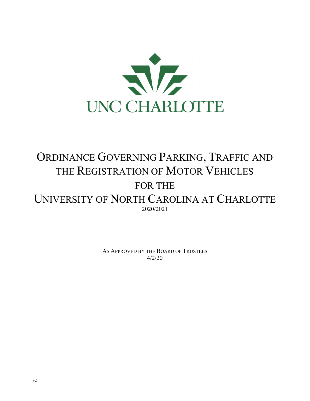

# ORDINANCE GOVERNING PARKING, TRAFFIC AND THE REGISTRATION OF MOTOR VEHICLES FOR THE UNIVERSITY OF NORTH CAROLINA AT CHARLOTTE 2020/2021

AS APPROVED BY THE BOARD OF TRUSTEES  $4/2/20$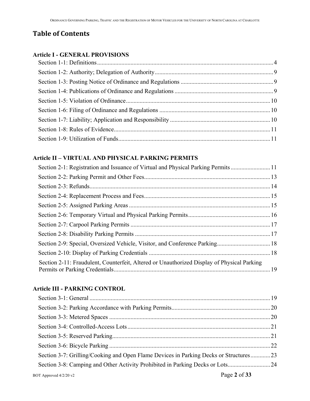## **Table of Contents**

#### **Article I - GENERAL PROVISIONS**

## **Article II – VIRTUAL AND PHYSICAL PARKING PERMITS**

| Section 2-1: Registration and Issuance of Virtual and Physical Parking Permits11           |  |
|--------------------------------------------------------------------------------------------|--|
|                                                                                            |  |
|                                                                                            |  |
|                                                                                            |  |
|                                                                                            |  |
|                                                                                            |  |
|                                                                                            |  |
|                                                                                            |  |
|                                                                                            |  |
|                                                                                            |  |
| Section 2-11: Fraudulent, Counterfeit, Altered or Unauthorized Display of Physical Parking |  |

## **Article III - PARKING CONTROL**

| Section 3-7: Grilling/Cooking and Open Flame Devices in Parking Decks or Structures23 |  |
|---------------------------------------------------------------------------------------|--|
| Section 3-8: Camping and Other Activity Prohibited in Parking Decks or Lots           |  |
| Page 2 of 33<br>BOT Approved 4/2/20 v2                                                |  |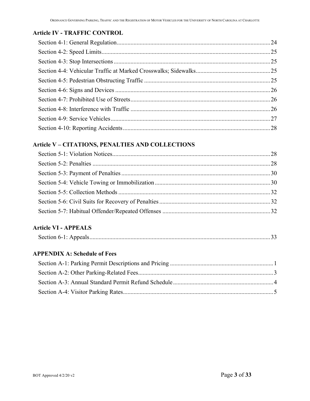#### **Article IV - TRAFFIC CONTROL**

## **Article V – CITATIONS, PENALTIES AND COLLECTIONS**

## **Article VI - APPEALS**

|--|--|--|

## **APPENDIX A: Schedule of Fees**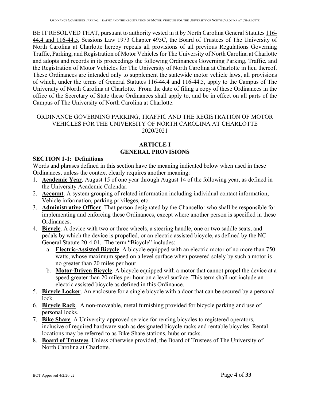BE IT RESOLVED THAT, pursuant to authority vested in it by North Carolina General Statutes 116-44.4 and 116-44.5, Sessions Law 1973 Chapter 495C, the Board of Trustees of The University of North Carolina at Charlotte hereby repeals all provisions of all previous Regulations Governing Traffic, Parking, and Registration of Motor Vehicles for The University of North Carolina at Charlotte and adopts and records in its proceedings the following Ordinances Governing Parking, Traffic, and the Registration of Motor Vehicles for The University of North Carolina at Charlotte in lieu thereof. These Ordinances are intended only to supplement the statewide motor vehicle laws, all provisions of which, under the terms of General Statutes 116-44.4 and 116-44.5, apply to the Campus of The University of North Carolina at Charlotte. From the date of filing a copy of these Ordinances in the office of the Secretary of State these Ordinances shall apply to, and be in effect on all parts of the Campus of The University of North Carolina at Charlotte.

#### ORDINANCE GOVERNING PARKING, TRAFFIC AND THE REGISTRATION OF MOTOR VEHICLES FOR THE UNIVERSITY OF NORTH CAROLINA AT CHARLOTTE 2020/2021

#### **ARTICLE I GENERAL PROVISIONS**

#### **SECTION 1-1: Definitions**

Words and phrases defined in this section have the meaning indicated below when used in these Ordinances, unless the context clearly requires another meaning:

- 1. **Academic Year**. August 15 of one year through August 14 of the following year, as defined in the University Academic Calendar.
- 2. **Account**. A system grouping of related information including individual contact information, Vehicle information, parking privileges, etc.
- 3. **Administrative Officer**. That person designated by the Chancellor who shall be responsible for implementing and enforcing these Ordinances, except where another person is specified in these Ordinances.
- 4. **Bicycle**. A device with two or three wheels, a steering handle, one or two saddle seats, and pedals by which the device is propelled, or an electric assisted bicycle, as defined by the NC General Statute 20-4.01. The term "Bicycle" includes:
	- a. **Electric-Assisted Bicycle**. A bicycle equipped with an electric motor of no more than 750 watts, whose maximum speed on a level surface when powered solely by such a motor is no greater than 20 miles per hour.
	- b. **Motor-Driven Bicycle**. A bicycle equipped with a motor that cannot propel the device at a speed greater than 20 miles per hour on a level surface. This term shall not include an electric assisted bicycle as defined in this Ordinance.
- 5. **Bicycle Locker**. An enclosure for a single bicycle with a door that can be secured by a personal lock.
- 6. **Bicycle Rack**. A non-moveable, metal furnishing provided for bicycle parking and use of personal locks.
- 7. **Bike Share**. A University-approved service for renting bicycles to registered operators, inclusive of required hardware such as designated bicycle racks and rentable bicycles. Rental locations may be referred to as Bike Share stations, hubs or racks.
- 8. **Board of Trustees**. Unless otherwise provided, the Board of Trustees of The University of North Carolina at Charlotte.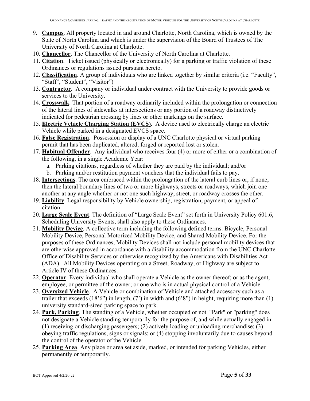- 9. **Campus**. All property located in and around Charlotte, North Carolina, which is owned by the State of North Carolina and which is under the supervision of the Board of Trustees of The University of North Carolina at Charlotte.
- 10. **Chancellor**. The Chancellor of the University of North Carolina at Charlotte.
- 11. **Citation**. Ticket issued (physically or electronically) for a parking or traffic violation of these Ordinances or regulations issued pursuant hereto.
- 12. **Classification**. A group of individuals who are linked together by similar criteria (i.e. "Faculty", "Staff", "Student", "Visitor")
- 13. **Contractor**. A company or individual under contract with the University to provide goods or services to the University.
- 14. **Crosswalk**. That portion of a roadway ordinarily included within the prolongation or connection of the lateral lines of sidewalks at intersections or any portion of a roadway distinctively indicated for pedestrian crossing by lines or other markings on the surface.
- 15. **Electric Vehicle Charging Station (EVCS)**. A device used to electrically charge an electric Vehicle while parked in a designated EVCS space.
- 16. **False Registration**. Possession or display of a UNC Charlotte physical or virtual parking permit that has been duplicated, altered, forged or reported lost or stolen.
- 17. **Habitual Offender**. Any individual who receives four (4) or more of either or a combination of the following, in a single Academic Year:
	- a. Parking citations, regardless of whether they are paid by the individual; and/or
	- b. Parking and/or restitution payment vouchers that the individual fails to pay.
- 18. **Intersections**. The area embraced within the prolongation of the lateral curb lines or, if none, then the lateral boundary lines of two or more highways, streets or roadways, which join one another at any angle whether or not one such highway, street, or roadway crosses the other.
- 19. **Liability**. Legal responsibility by Vehicle ownership, registration, payment, or appeal of citation.
- 20. **Large Scale Event**. The definition of "Large Scale Event" set forth in University Policy 601.6, Scheduling University Events, shall also apply to these Ordinances.
- 21. **Mobility Device**. A collective term including the following defined terms: Bicycle, Personal Mobility Device, Personal Motorized Mobility Device, and Shared Mobility Device. For the purposes of these Ordinances, Mobility Devices shall not include personal mobility devices that are otherwise approved in accordance with a disability accommodation from the UNC Charlotte Office of Disability Services or otherwise recognized by the Americans with Disabilities Act (ADA). All Mobility Devices operating on a Street, Roadway, or Highway are subject to Article IV of these Ordinances.
- 22. **Operator**. Every individual who shall operate a Vehicle as the owner thereof; or as the agent, employee, or permittee of the owner; or one who is in actual physical control of a Vehicle.
- 23. **Oversized Vehicle**. A Vehicle or combination of Vehicle and attached accessory such as a trailer that exceeds  $(18'6'')$  in length,  $(7')$  in width and  $(6'8'')$  in height, requiring more than  $(1)$ university standard-sized parking space to park.
- 24. **Park, Parking**. The standing of a Vehicle, whether occupied or not. "Park" or "parking" does not designate a Vehicle standing temporarily for the purpose of, and while actually engaged in: (1) receiving or discharging passengers; (2) actively loading or unloading merchandise; (3) obeying traffic regulations, signs or signals; or (4) stopping involuntarily due to causes beyond the control of the operator of the Vehicle.
- 25. **Parking Area**. Any place or area set aside, marked, or intended for parking Vehicles, either permanently or temporarily.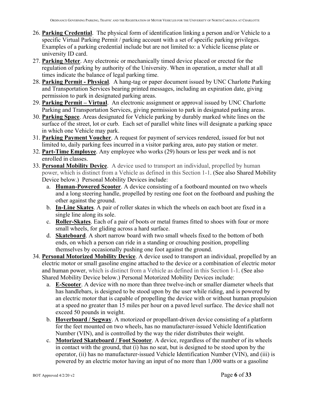- 26. **Parking Credential**. The physical form of identification linking a person and/or Vehicle to a specific Virtual Parking Permit / parking account with a set of specific parking privileges. Examples of a parking credential include but are not limited to: a Vehicle license plate or university ID card.
- 27. **Parking Meter**. Any electronic or mechanically timed device placed or erected for the regulation of parking by authority of the University. When in operation, a meter shall at all times indicate the balance of legal parking time.
- 28. **Parking Permit Physical***.* A hang-tag or paper document issued by UNC Charlotte Parking and Transportation Services bearing printed messages, including an expiration date, giving permission to park in designated parking areas.
- 29. **Parking Permit Virtual**. An electronic assignment or approval issued by UNC Charlotte Parking and Transportation Services, giving permission to park in designated parking areas.
- 30. **Parking Space**. Areas designated for Vehicle parking by durably marked white lines on the surface of the street, lot or curb. Each set of parallel white lines will designate a parking space in which one Vehicle may park.
- 31. **Parking Payment Voucher**. A request for payment of services rendered, issued for but not limited to, daily parking fees incurred in a visitor parking area, auto pay station or meter.
- 32. **Part-Time Employee**. Any employee who works (29) hours or less per week and is not enrolled in classes.
- 33. **Personal Mobility Device**. A device used to transport an individual, propelled by human power, which is distinct from a Vehicle as defined in this Section 1-1. (See also Shared Mobility Device below.) Personal Mobility Devices include:
	- a. **Human-Powered Scooter**. A device consisting of a footboard mounted on two wheels and a long steering handle, propelled by resting one foot on the footboard and pushing the other against the ground.
	- b. **In-Line Skates**. A pair of roller skates in which the wheels on each boot are fixed in a single line along its sole.
	- c. **Roller-Skates**. Each of a pair of boots or metal frames fitted to shoes with four or more small wheels, for gliding across a hard surface.
	- d. **Skateboard**. A short narrow board with two small wheels fixed to the bottom of both ends, on which a person can ride in a standing or crouching position, propelling themselves by occasionally pushing one foot against the ground.
- 34. **Personal Motorized Mobility Device**. A device used to transport an individual, propelled by an electric motor or small gasoline engine attached to the device or a combination of electric motor and human power, which is distinct from a Vehicle as defined in this Section 1-1. (See also Shared Mobility Device below.) Personal Motorized Mobility Devices include:
	- a. **E-Scooter**. A device with no more than three twelve-inch or smaller diameter wheels that has handlebars, is designed to be stood upon by the user while riding, and is powered by an electric motor that is capable of propelling the device with or without human propulsion at a speed no greater than 15 miles per hour on a paved level surface. The device shall not exceed 50 pounds in weight.
	- b. **Hoverboard / Segway**. A motorized or propellant-driven device consisting of a platform for the feet mounted on two wheels, has no manufacturer-issued Vehicle Identification Number (VIN), and is controlled by the way the rider distributes their weight.
	- c. **Motorized Skateboard / Foot Scooter**. A device, regardless of the number of its wheels in contact with the ground, that (i) has no seat, but is designed to be stood upon by the operator, (ii) has no manufacturer-issued Vehicle Identification Number (VIN), and (iii) is powered by an electric motor having an input of no more than 1,000 watts or a gasoline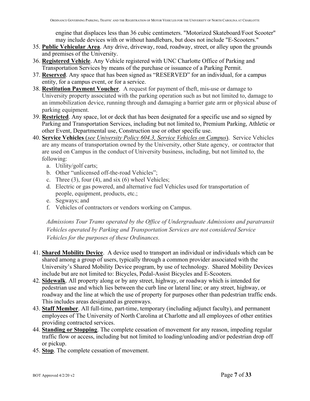engine that displaces less than 36 cubic centimeters. "Motorized Skateboard/Foot Scooter" may include devices with or without handlebars, but does not include "E-Scooters."

- 35. **Public Vehicular Area**. Any drive, driveway, road, roadway, street, or alley upon the grounds and premises of the University.
- 36. **Registered Vehicle**. Any Vehicle registered with UNC Charlotte Office of Parking and Transportation Services by means of the purchase or issuance of a Parking Permit.
- 37. **Reserved**. Any space that has been signed as "RESERVED" for an individual, for a campus entity, for a campus event, or for a service.
- 38. **Restitution Payment Voucher**. A request for payment of theft, mis-use or damage to University property associated with the parking operation such as but not limited to, damage to an immobilization device, running through and damaging a barrier gate arm or physical abuse of parking equipment.
- 39. **Restricted**. Any space, lot or deck that has been designated for a specific use and so signed by Parking and Transportation Services, including but not limited to, Premium Parking, Athletic or other Event, Departmental use, Construction use or other specific use.
- 40. **Service Vehicles** (*see University Policy 604.3, Service Vehicles on Campus*). Service Vehicles are any means of transportation owned by the University, other State agency, or contractor that are used on Campus in the conduct of University business, including, but not limited to, the following:
	- a. Utility/golf carts;
	- b. Other "unlicensed off-the-road Vehicles";
	- c. Three  $(3)$ , four  $(4)$ , and six  $(6)$  wheel Vehicles;
	- d. Electric or gas powered, and alternative fuel Vehicles used for transportation of people, equipment, products, etc.;
	- e. Segways; and
	- f. Vehicles of contractors or vendors working on Campus.

*Admissions Tour Trams operated by the Office of Undergraduate Admissions and paratransit Vehicles operated by Parking and Transportation Services are not considered Service Vehicles for the purposes of these Ordinances.* 

- 41. **Shared Mobility Device**. A device used to transport an individual or individuals which can be shared among a group of users, typically through a common provider associated with the University's Shared Mobility Device program, by use of technology. Shared Mobility Devices include but are not limited to: Bicycles, Pedal-Assist Bicycles and E-Scooters.
- 42. **Sidewalk**. All property along or by any street, highway, or roadway which is intended for pedestrian use and which lies between the curb line or lateral line; or any street, highway, or roadway and the line at which the use of property for purposes other than pedestrian traffic ends. This includes areas designated as greenways.
- 43. **Staff Member**. All full-time, part-time, temporary (including adjunct faculty), and permanent employees of The University of North Carolina at Charlotte and all employees of other entities providing contracted services.
- 44. **Standing or Stopping**. The complete cessation of movement for any reason, impeding regular traffic flow or access, including but not limited to loading/unloading and/or pedestrian drop off or pickup.
- 45. **Stop**. The complete cessation of movement.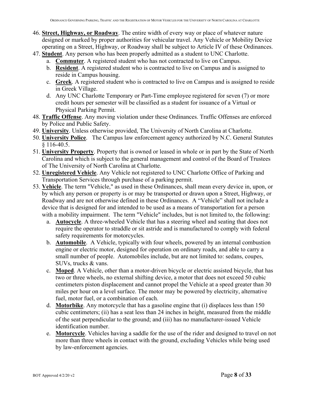- 46. **Street, Highway, or Roadway**. The entire width of every way or place of whatever nature designed or marked by proper authorities for vehicular travel. Any Vehicle or Mobility Device operating on a Street, Highway, or Roadway shall be subject to Article IV of these Ordinances.
- 47. **Student**. Any person who has been properly admitted as a student to UNC Charlotte.
	- a. **Commuter**. A registered student who has not contracted to live on Campus.
	- b. **Resident**. A registered student who is contracted to live on Campus and is assigned to reside in Campus housing.
	- c. **Greek**. A registered student who is contracted to live on Campus and is assigned to reside in Greek Village.
	- d. Any UNC Charlotte Temporary or Part-Time employee registered for seven (7) or more credit hours per semester will be classified as a student for issuance of a Virtual or Physical Parking Permit.
- 48. **Traffic Offense**. Any moving violation under these Ordinances. Traffic Offenses are enforced by Police and Public Safety.
- 49. **University**. Unless otherwise provided, The University of North Carolina at Charlotte.
- 50. **University Police**. The Campus law enforcement agency authorized by N.C. General Statutes  $§ 116-40.5.$
- 51. **University Property**. Property that is owned or leased in whole or in part by the State of North Carolina and which is subject to the general management and control of the Board of Trustees of The University of North Carolina at Charlotte.
- 52. **Unregistered Vehicle**. Any Vehicle not registered to UNC Charlotte Office of Parking and Transportation Services through purchase of a parking permit.
- 53. **Vehicle**. The term "Vehicle," as used in these Ordinances, shall mean every device in, upon, or by which any person or property is or may be transported or drawn upon a Street, Highway, or Roadway and are not otherwise defined in these Ordinances. A "Vehicle" shall not include a device that is designed for and intended to be used as a means of transportation for a person with a mobility impairment. The term "Vehicle" includes, but is not limited to, the following:
	- a. **Autocycle**. A three-wheeled Vehicle that has a steering wheel and seating that does not require the operator to straddle or sit astride and is manufactured to comply with federal safety requirements for motorcycles.
	- b. **Automobile**. A Vehicle, typically with four wheels, powered by an internal combustion engine or electric motor, designed for operation on ordinary roads, and able to carry a small number of people. Automobiles include, but are not limited to: sedans, coupes, SUVs, trucks & vans.
	- c. **Moped**. A Vehicle, other than a motor-driven bicycle or electric assisted bicycle, that has two or three wheels, no external shifting device, a motor that does not exceed 50 cubic centimeters piston displacement and cannot propel the Vehicle at a speed greater than 30 miles per hour on a level surface. The motor may be powered by electricity, alternative fuel, motor fuel, or a combination of each.
	- d. **Motorbike**. Any motorcycle that has a gasoline engine that (i) displaces less than 150 cubic centimeters; (ii) has a seat less than 24 inches in height, measured from the middle of the seat perpendicular to the ground; and (iii) has no manufacturer-issued Vehicle identification number.
	- e. **Motorcycle**. Vehicles having a saddle for the use of the rider and designed to travel on not more than three wheels in contact with the ground, excluding Vehicles while being used by law-enforcement agencies.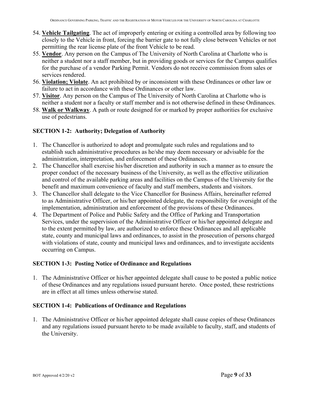- 54. **Vehicle Tailgating**. The act of improperly entering or exiting a controlled area by following too closely to the Vehicle in front, forcing the barrier gate to not fully close between Vehicles or not permitting the rear license plate of the front Vehicle to be read.
- 55. **Vendor**. Any person on the Campus of The University of North Carolina at Charlotte who is neither a student nor a staff member, but in providing goods or services for the Campus qualifies for the purchase of a vendor Parking Permit. Vendors do not receive commission from sales or services rendered.
- 56. **Violation; Violate**. An act prohibited by or inconsistent with these Ordinances or other law or failure to act in accordance with these Ordinances or other law.
- 57. **Visitor**. Any person on the Campus of The University of North Carolina at Charlotte who is neither a student nor a faculty or staff member and is not otherwise defined in these Ordinances.
- 58. **Walk or Walkway**. A path or route designed for or marked by proper authorities for exclusive use of pedestrians.

#### **SECTION 1-2: Authority; Delegation of Authority**

- 1. The Chancellor is authorized to adopt and promulgate such rules and regulations and to establish such administrative procedures as he/she may deem necessary or advisable for the administration, interpretation, and enforcement of these Ordinances.
- 2. The Chancellor shall exercise his/her discretion and authority in such a manner as to ensure the proper conduct of the necessary business of the University, as well as the effective utilization and control of the available parking areas and facilities on the Campus of the University for the benefit and maximum convenience of faculty and staff members, students and visitors.
- 3. The Chancellor shall delegate to the Vice Chancellor for Business Affairs, hereinafter referred to as Administrative Officer, or his/her appointed delegate, the responsibility for oversight of the implementation, administration and enforcement of the provisions of these Ordinances.
- 4. The Department of Police and Public Safety and the Office of Parking and Transportation Services, under the supervision of the Administrative Officer or his/her appointed delegate and to the extent permitted by law, are authorized to enforce these Ordinances and all applicable state, county and municipal laws and ordinances, to assist in the prosecution of persons charged with violations of state, county and municipal laws and ordinances, and to investigate accidents occurring on Campus.

#### **SECTION 1-3: Posting Notice of Ordinance and Regulations**

1. The Administrative Officer or his/her appointed delegate shall cause to be posted a public notice of these Ordinances and any regulations issued pursuant hereto. Once posted, these restrictions are in effect at all times unless otherwise stated.

#### **SECTION 1-4: Publications of Ordinance and Regulations**

1. The Administrative Officer or his/her appointed delegate shall cause copies of these Ordinances and any regulations issued pursuant hereto to be made available to faculty, staff, and students of the University.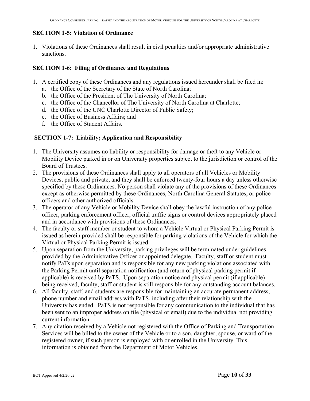#### **SECTION 1-5: Violation of Ordinance**

1. Violations of these Ordinances shall result in civil penalties and/or appropriate administrative sanctions.

#### **SECTION 1-6: Filing of Ordinance and Regulations**

- 1. A certified copy of these Ordinances and any regulations issued hereunder shall be filed in:
	- a. the Office of the Secretary of the State of North Carolina;
	- b. the Office of the President of The University of North Carolina;
	- c. the Office of the Chancellor of The University of North Carolina at Charlotte;
	- d. the Office of the UNC Charlotte Director of Public Safety;
	- e. the Office of Business Affairs; and
	- f. the Office of Student Affairs.

#### **SECTION 1-7: Liability; Application and Responsibility**

- 1. The University assumes no liability or responsibility for damage or theft to any Vehicle or Mobility Device parked in or on University properties subject to the jurisdiction or control of the Board of Trustees.
- 2. The provisions of these Ordinances shall apply to all operators of all Vehicles or Mobility Devices, public and private, and they shall be enforced twenty-four hours a day unless otherwise specified by these Ordinances. No person shall violate any of the provisions of these Ordinances except as otherwise permitted by these Ordinances, North Carolina General Statutes, or police officers and other authorized officials.
- 3. The operator of any Vehicle or Mobility Device shall obey the lawful instruction of any police officer, parking enforcement officer, official traffic signs or control devices appropriately placed and in accordance with provisions of these Ordinances.
- 4. The faculty or staff member or student to whom a Vehicle Virtual or Physical Parking Permit is issued as herein provided shall be responsible for parking violations of the Vehicle for which the Virtual or Physical Parking Permit is issued.
- 5. Upon separation from the University, parking privileges will be terminated under guidelines provided by the Administrative Officer or appointed delegate. Faculty, staff or student must notify PaTs upon separation and is responsible for any new parking violations associated with the Parking Permit until separation notification (and return of physical parking permit if applicable) is received by PaTS. Upon separation notice and physical permit (if applicable) being received, faculty, staff or student is still responsible for any outstanding account balances.
- 6. All faculty, staff, and students are responsible for maintaining an accurate permanent address, phone number and email address with PaTS, including after their relationship with the University has ended. PaTS is not responsible for any communication to the individual that has been sent to an improper address on file (physical or email) due to the individual not providing current information.
- 7. Any citation received by a Vehicle not registered with the Office of Parking and Transportation Services will be billed to the owner of the Vehicle or to a son, daughter, spouse, or ward of the registered owner, if such person is employed with or enrolled in the University. This information is obtained from the Department of Motor Vehicles.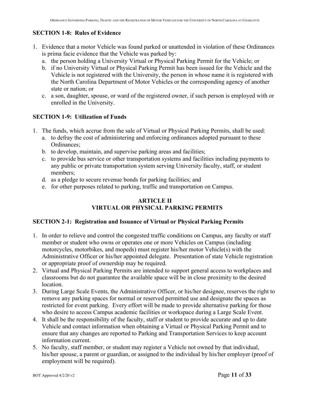## **SECTION 1-8: Rules of Evidence**

- 1. Evidence that a motor Vehicle was found parked or unattended in violation of these Ordinances is prima facie evidence that the Vehicle was parked by:
	- a. the person holding a University Virtual or Physical Parking Permit for the Vehicle; or
	- b. if no University Virtual or Physical Parking Permit has been issued for the Vehicle and the Vehicle is not registered with the University, the person in whose name it is registered with the North Carolina Department of Motor Vehicles or the corresponding agency of another state or nation; or
	- c. a son, daughter, spouse, or ward of the registered owner, if such person is employed with or enrolled in the University.

## **SECTION 1-9: Utilization of Funds**

- 1. The funds, which accrue from the sale of Virtual or Physical Parking Permits, shall be used:
	- a. to defray the cost of administering and enforcing ordinances adopted pursuant to these Ordinances;
	- b. to develop, maintain, and supervise parking areas and facilities;
	- c. to provide bus service or other transportation systems and facilities including payments to any public or private transportation system serving University faculty, staff, or student members;
	- d. as a pledge to secure revenue bonds for parking facilities; and
	- e. for other purposes related to parking, traffic and transportation on Campus.

## **ARTICLE II VIRTUAL OR PHYSICAL PARKING PERMITS**

#### **SECTION 2-1: Registration and Issuance of Virtual or Physical Parking Permits**

- 1. In order to relieve and control the congested traffic conditions on Campus, any faculty or staff member or student who owns or operates one or more Vehicles on Campus (including motorcycles, motorbikes, and mopeds) must register his/her motor Vehicle(s) with the Administrative Officer or his/her appointed delegate. Presentation of state Vehicle registration or appropriate proof of ownership may be required.
- 2. Virtual and Physical Parking Permits are intended to support general access to workplaces and classrooms but do not guarantee the available space will be in close proximity to the desired location.
- 3. During Large Scale Events, the Administrative Officer, or his/her designee, reserves the right to remove any parking spaces for normal or reserved permitted use and designate the spaces as restricted for event parking. Every effort will be made to provide alternative parking for those who desire to access Campus academic facilities or workspace during a Large Scale Event.
- 4. It shall be the responsibility of the faculty, staff or student to provide accurate and up to date Vehicle and contact information when obtaining a Virtual or Physical Parking Permit and to ensure that any changes are reported to Parking and Transportation Services to keep account information current.
- 5. No faculty, staff member, or student may register a Vehicle not owned by that individual, his/her spouse, a parent or guardian, or assigned to the individual by his/her employer (proof of employment will be required).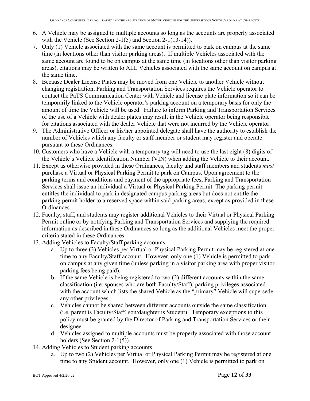- 6. A Vehicle may be assigned to multiple accounts so long as the accounts are properly associated with the Vehicle (See Section 2-1(5) and Section 2-1(13-14)).
- 7. Only (1) Vehicle associated with the same account is permitted to park on campus at the same time (in locations other than visitor parking areas). If multiple Vehicles associated with the same account are found to be on campus at the same time (in locations other than visitor parking areas), citations may be written to ALL Vehicles associated with the same account on campus at the same time.
- 8. Because Dealer License Plates may be moved from one Vehicle to another Vehicle without changing registration, Parking and Transportation Services requires the Vehicle operator to contact the PaTS Communication Center with Vehicle and license plate information so it can be temporarily linked to the Vehicle operator's parking account on a temporary basis for only the amount of time the Vehicle will be used. Failure to inform Parking and Transportation Services of the use of a Vehicle with dealer plates may result in the Vehicle operator being responsible for citations associated with the dealer Vehicle that were not incurred by the Vehicle operator.
- 9. The Administrative Officer or his/her appointed delegate shall have the authority to establish the number of Vehicles which any faculty or staff member or student may register and operate pursuant to these Ordinances.
- 10. Customers who have a Vehicle with a temporary tag will need to use the last eight (8) digits of the Vehicle's Vehicle Identification Number (VIN) when adding the Vehicle to their account.
- 11. Except as otherwise provided in these Ordinances, faculty and staff members and students *must* purchase a Virtual or Physical Parking Permit to park on Campus. Upon agreement to the parking terms and conditions and payment of the appropriate fees, Parking and Transportation Services shall issue an individual a Virtual or Physical Parking Permit. The parking permit entitles the individual to park in designated campus parking areas but does not entitle the parking permit holder to a reserved space within said parking areas, except as provided in these Ordinances.
- 12. Faculty, staff, and students may register additional Vehicles to their Virtual or Physical Parking Permit online or by notifying Parking and Transportation Services and supplying the required information as described in these Ordinances so long as the additional Vehicles meet the proper criteria stated in these Ordinances.
- 13. Adding Vehicles to Faculty/Staff parking accounts:
	- a. Up to three (3) Vehicles per Virtual or Physical Parking Permit may be registered at one time to any Faculty/Staff account. However, only one (1) Vehicle is permitted to park on campus at any given time (unless parking in a visitor parking area with proper visitor parking fees being paid).
	- b. If the same Vehicle is being registered to two (2) different accounts within the same classification (i.e. spouses who are both Faculty/Staff), parking privileges associated with the account which lists the shared Vehicle as the "primary" Vehicle will supersede any other privileges.
	- c. Vehicles cannot be shared between different accounts outside the same classification (i.e. parent is Faculty/Staff, son/daughter is Student). Temporary exceptions to this policy must be granted by the Director of Parking and Transportation Services or their designee.
	- d. Vehicles assigned to multiple accounts must be properly associated with those account holders (See Section 2-1(5)).
- 14. Adding Vehicles to Student parking accounts
	- a. Up to two (2) Vehicles per Virtual or Physical Parking Permit may be registered at one time to any Student account. However, only one (1) Vehicle is permitted to park on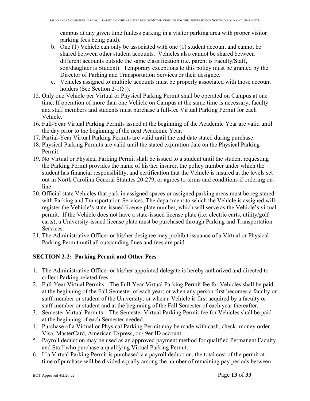campus at any given time (unless parking in a visitor parking area with proper visitor parking fees being paid).

- b. One (1) Vehicle can only be associated with one (1) student account and cannot be shared between other student accounts. Vehicles also cannot be shared between different accounts outside the same classification (i.e. parent is Faculty/Staff, son/daughter is Student). Temporary exceptions to this policy must be granted by the Director of Parking and Transportation Services or their designee.
- c. Vehicles assigned to multiple accounts must be properly associated with those account holders (See Section 2-1(5)).
- 15. Only one Vehicle per Virtual or Physical Parking Permit shall be operated on Campus at one time. If operation of more than one Vehicle on Campus at the same time is necessary, faculty and staff members and students must purchase a full-fee Virtual Parking Permit for each Vehicle.
- 16. Full-Year Virtual Parking Permits issued at the beginning of the Academic Year are valid until the day prior to the beginning of the next Academic Year.
- 17. Partial-Year Virtual Parking Permits are valid until the end date stated during purchase.
- 18. Physical Parking Permits are valid until the stated expiration date on the Physical Parking Permit.
- 19. No Virtual or Physical Parking Permit shall be issued to a student until the student requesting the Parking Permit provides the name of his/her insurer, the policy number under which the student has financial responsibility, and certification that the Vehicle is insured at the levels set out in North Carolina General Statutes 20-279, or agrees to terms and conditions if ordering online
- 20. Official state Vehicles that park in assigned spaces or assigned parking areas must be registered with Parking and Transportation Services. The department to which the Vehicle is assigned will register the Vehicle's state-issued license plate number, which will serve as the Vehicle's virtual permit. If the Vehicle does not have a state-issued license plate (i.e. electric carts, utility/golf carts), a University-issued license plate must be purchased through Parking and Transportation Services.
- 21. The Administrative Officer or his/her designee may prohibit issuance of a Virtual or Physical Parking Permit until all outstanding fines and fees are paid.

## **SECTION 2-2: Parking Permit and Other Fees**

- 1. The Administrative Officer or his/her appointed delegate is hereby authorized and directed to collect Parking-related fees.
- 2. Full-Year Virtual Permits The Full-Year Virtual Parking Permit fee for Vehicles shall be paid at the beginning of the Fall Semester of each year; or when any person first becomes a faculty or staff member or student of the University; or when a Vehicle is first acquired by a faculty or staff member or student and at the beginning of the Fall Semester of each year thereafter.
- 3. Semester Virtual Permits The Semester Virtual Parking Permit fee for Vehicles shall be paid at the beginning of each Semester needed.
- 4. Purchase of a Virtual or Physical Parking Permit may be made with cash, check, money order, Visa, MasterCard, American Express, or 49er ID account.
- 5. Payroll deduction may be used as an approved payment method for qualified Permanent Faculty and Staff who purchase a qualifying Virtual Parking Permit.
- 6. If a Virtual Parking Permit is purchased via payroll deduction, the total cost of the permit at time of purchase will be divided equally among the number of remaining pay periods between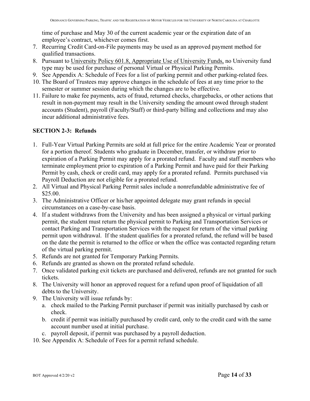time of purchase and May 30 of the current academic year or the expiration date of an employee's contract, whichever comes first.

- 7. Recurring Credit Card-on-File payments may be used as an approved payment method for qualified transactions.
- 8. Pursuant to University Policy 601.8, Appropriate Use of University Funds, no University fund type may be used for purchase of personal Virtual or Physical Parking Permits.
- 9. See Appendix A: Schedule of Fees for a list of parking permit and other parking-related fees.
- 10. The Board of Trustees may approve changes in the schedule of fees at any time prior to the semester or summer session during which the changes are to be effective.
- 11. Failure to make fee payments, acts of fraud, returned checks, chargebacks, or other actions that result in non-payment may result in the University sending the amount owed through student accounts (Student), payroll (Faculty/Staff) or third-party billing and collections and may also incur additional administrative fees.

#### **SECTION 2-3: Refunds**

- 1. Full-Year Virtual Parking Permits are sold at full price for the entire Academic Year or prorated for a portion thereof. Students who graduate in December, transfer, or withdraw prior to expiration of a Parking Permit may apply for a prorated refund. Faculty and staff members who terminate employment prior to expiration of a Parking Permit and have paid for their Parking Permit by cash, check or credit card, may apply for a prorated refund. Permits purchased via Payroll Deduction are not eligible for a prorated refund.
- 2. All Virtual and Physical Parking Permit sales include a nonrefundable administrative fee of \$25.00.
- 3. The Administrative Officer or his/her appointed delegate may grant refunds in special circumstances on a case-by-case basis.
- 4. If a student withdraws from the University and has been assigned a physical or virtual parking permit, the student must return the physical permit to Parking and Transportation Services or contact Parking and Transportation Services with the request for return of the virtual parking permit upon withdrawal. If the student qualifies for a prorated refund, the refund will be based on the date the permit is returned to the office or when the office was contacted regarding return of the virtual parking permit.
- 5. Refunds are not granted for Temporary Parking Permits.
- 6. Refunds are granted as shown on the prorated refund schedule.
- 7. Once validated parking exit tickets are purchased and delivered, refunds are not granted for such tickets.
- 8. The University will honor an approved request for a refund upon proof of liquidation of all debts to the University.
- 9. The University will issue refunds by:
	- a. check mailed to the Parking Permit purchaser if permit was initially purchased by cash or check.
	- b. credit if permit was initially purchased by credit card, only to the credit card with the same account number used at initial purchase.
	- c. payroll deposit, if permit was purchased by a payroll deduction.
- 10. See Appendix A: Schedule of Fees for a permit refund schedule.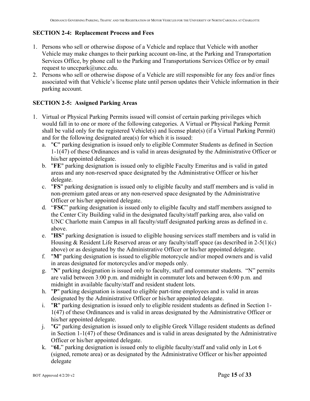#### **SECTION 2-4: Replacement Process and Fees**

- 1. Persons who sell or otherwise dispose of a Vehicle and replace that Vehicle with another Vehicle may make changes to their parking account on-line, at the Parking and Transportation Services Office, by phone call to the Parking and Transportations Services Office or by email request to unccpark@uncc.edu.
- 2. Persons who sell or otherwise dispose of a Vehicle are still responsible for any fees and/or fines associated with that Vehicle's license plate until person updates their Vehicle information in their parking account.

#### **SECTION 2-5: Assigned Parking Areas**

- 1. Virtual or Physical Parking Permits issued will consist of certain parking privileges which would fall in to one or more of the following categories. A Virtual or Physical Parking Permit shall be valid only for the registered Vehicle(s) and license plate(s) (if a Virtual Parking Permit) and for the following designated area(s) for which it is issued:
	- a. "**C**" parking designation is issued only to eligible Commuter Students as defined in Section 1-1(47) of these Ordinances and is valid in areas designated by the Administrative Officer or his/her appointed delegate.
	- b. "**FE**" parking designation is issued only to eligible Faculty Emeritus and is valid in gated areas and any non-reserved space designated by the Administrative Officer or his/her delegate.
	- c. "**FS**" parking designation is issued only to eligible faculty and staff members and is valid in non-premium gated areas or any non-reserved space designated by the Administrative Officer or his/her appointed delegate.
	- d. "**FSC**" parking designation is issued only to eligible faculty and staff members assigned to the Center City Building valid in the designated faculty/staff parking area, also valid on UNC Charlotte main Campus in all faculty/staff designated parking areas as defined in c. above.
	- e. "**HS**" parking designation is issued to eligible housing services staff members and is valid in Housing & Resident Life Reserved areas or any faculty/staff space (as described in 2-5(1)(c) above) or as designated by the Administrative Officer or his/her appointed delegate.
	- f. "**M**" parking designation is issued to eligible motorcycle and/or moped owners and is valid in areas designated for motorcycles and/or mopeds only.
	- g. "**N**" parking designation is issued only to faculty, staff and commuter students. "N" permits are valid between 3:00 p.m. and midnight in commuter lots and between 6:00 p.m. and midnight in available faculty/staff and resident student lots.
	- h. "**P**" parking designation is issued to eligible part-time employees and is valid in areas designated by the Administrative Officer or his/her appointed delegate.
	- i. "**R**" parking designation is issued only to eligible resident students as defined in Section 1- 1(47) of these Ordinances and is valid in areas designated by the Administrative Officer or his/her appointed delegate.
	- j. "**G**" parking designation is issued only to eligible Greek Village resident students as defined in Section 1-1(47) of these Ordinances and is valid in areas designated by the Administrative Officer or his/her appointed delegate.
	- k. "**6L**" parking designation is issued only to eligible faculty/staff and valid only in Lot 6 (signed, remote area) or as designated by the Administrative Officer or his/her appointed delegate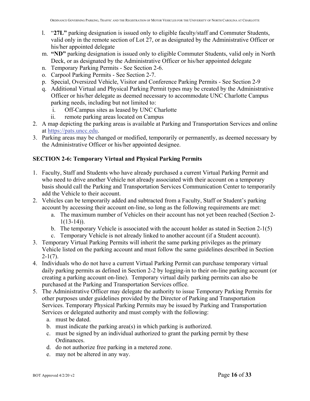- l. "**27L"** parking designation is issued only to eligible faculty/staff and Commuter Students, valid only in the remote section of Lot 27, or as designated by the Administrative Officer or his/her appointed delegate
- m. **"ND"** parking designation is issued only to eligible Commuter Students, valid only in North Deck, or as designated by the Administrative Officer or his/her appointed delegate
- n. Temporary Parking Permits See Section 2-6.
- o. Carpool Parking Permits See Section 2-7.
- p. Special, Oversized Vehicle, Visitor and Conference Parking Permits See Section 2-9
- q. Additional Virtual and Physical Parking Permit types may be created by the Administrative Officer or his/her delegate as deemed necessary to accommodate UNC Charlotte Campus parking needs, including but not limited to:
	- i. Off-Campus sites as leased by UNC Charlotte
	- ii. remote parking areas located on Campus
- 2. A map depicting the parking areas is available at Parking and Transportation Services and online at https://pats.uncc.edu.
- 3. Parking areas may be changed or modified, temporarily or permanently, as deemed necessary by the Administrative Officer or his/her appointed designee.

#### **SECTION 2-6: Temporary Virtual and Physical Parking Permits**

- 1. Faculty, Staff and Students who have already purchased a current Virtual Parking Permit and who need to drive another Vehicle not already associated with their account on a temporary basis should call the Parking and Transportation Services Communication Center to temporarily add the Vehicle to their account.
- 2. Vehicles can be temporarily added and subtracted from a Faculty, Staff or Student's parking account by accessing their account on-line, so long as the following requirements are met:
	- a. The maximum number of Vehicles on their account has not yet been reached (Section 2-  $1(13-14)$ .
	- b. The temporary Vehicle is associated with the account holder as stated in Section 2-1(5)
	- c. Temporary Vehicle is not already linked to another account (if a Student account).
- 3. Temporary Virtual Parking Permits will inherit the same parking privileges as the primary Vehicle listed on the parking account and must follow the same guidelines described in Section  $2-1(7)$ .
- 4. Individuals who do not have a current Virtual Parking Permit can purchase temporary virtual daily parking permits as defined in Section 2-2 by logging-in to their on-line parking account (or creating a parking account on-line). Temporary virtual daily parking permits can also be purchased at the Parking and Transportation Services office.
- 5. The Administrative Officer may delegate the authority to issue Temporary Parking Permits for other purposes under guidelines provided by the Director of Parking and Transportation Services. Temporary Physical Parking Permits may be issued by Parking and Transportation Services or delegated authority and must comply with the following:
	- a. must be dated.
	- b. must indicate the parking area(s) in which parking is authorized.
	- c. must be signed by an individual authorized to grant the parking permit by these Ordinances.
	- d. do not authorize free parking in a metered zone.
	- e. may not be altered in any way.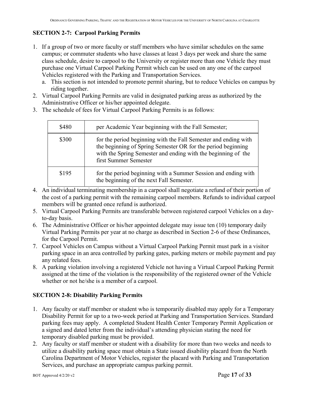## **SECTION 2-7: Carpool Parking Permits**

- 1. If a group of two or more faculty or staff members who have similar schedules on the same campus; or commuter students who have classes at least 3 days per week and share the same class schedule, desire to carpool to the University or register more than one Vehicle they must purchase one Virtual Carpool Parking Permit which can be used on any one of the carpool Vehicles registered with the Parking and Transportation Services.
	- a. This section is not intended to promote permit sharing, but to reduce Vehicles on campus by riding together.
- 2. Virtual Carpool Parking Permits are valid in designated parking areas as authorized by the Administrative Officer or his/her appointed delegate.
- 3. The schedule of fees for Virtual Carpool Parking Permits is as follows:

| \$480 | per Academic Year beginning with the Fall Semester;                                                                                                                                                                       |
|-------|---------------------------------------------------------------------------------------------------------------------------------------------------------------------------------------------------------------------------|
| \$300 | for the period beginning with the Fall Semester and ending with<br>the beginning of Spring Semester OR for the period beginning<br>with the Spring Semester and ending with the beginning of the<br>first Summer Semester |
| \$195 | for the period beginning with a Summer Session and ending with<br>the beginning of the next Fall Semester.                                                                                                                |

- 4. An individual terminating membership in a carpool shall negotiate a refund of their portion of the cost of a parking permit with the remaining carpool members. Refunds to individual carpool members will be granted once refund is authorized.
- 5. Virtual Carpool Parking Permits are transferable between registered carpool Vehicles on a dayto-day basis.
- 6. The Administrative Officer or his/her appointed delegate may issue ten (10) temporary daily Virtual Parking Permits per year at no charge as described in Section 2-6 of these Ordinances, for the Carpool Permit.
- 7. Carpool Vehicles on Campus without a Virtual Carpool Parking Permit must park in a visitor parking space in an area controlled by parking gates, parking meters or mobile payment and pay any related fees.
- 8. A parking violation involving a registered Vehicle not having a Virtual Carpool Parking Permit assigned at the time of the violation is the responsibility of the registered owner of the Vehicle whether or not he/she is a member of a carpool.

## **SECTION 2-8: Disability Parking Permits**

- 1. Any faculty or staff member or student who is temporarily disabled may apply for a Temporary Disability Permit for up to a two-week period at Parking and Transportation Services. Standard parking fees may apply. A completed Student Health Center Temporary Permit Application or a signed and dated letter from the individual's attending physician stating the need for temporary disabled parking must be provided.
- 2. Any faculty or staff member or student with a disability for more than two weeks and needs to utilize a disability parking space must obtain a State issued disability placard from the North Carolina Department of Motor Vehicles, register the placard with Parking and Transportation Services, and purchase an appropriate campus parking permit.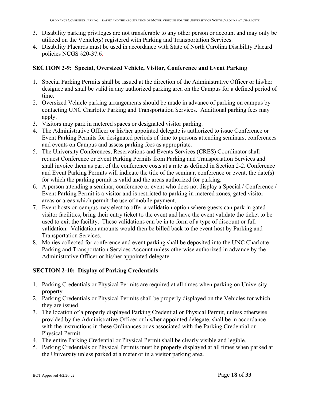- 3. Disability parking privileges are not transferable to any other person or account and may only be utilized on the Vehicle(s) registered with Parking and Transportation Services.
- 4. Disability Placards must be used in accordance with State of North Carolina Disability Placard policies NCGS §20-37.6.

#### **SECTION 2-9: Special, Oversized Vehicle, Visitor, Conference and Event Parking**

- 1. Special Parking Permits shall be issued at the direction of the Administrative Officer or his/her designee and shall be valid in any authorized parking area on the Campus for a defined period of time.
- 2. Oversized Vehicle parking arrangements should be made in advance of parking on campus by contacting UNC Charlotte Parking and Transportation Services. Additional parking fees may apply.
- 3. Visitors may park in metered spaces or designated visitor parking.
- 4. The Administrative Officer or his/her appointed delegate is authorized to issue Conference or Event Parking Permits for designated periods of time to persons attending seminars, conferences and events on Campus and assess parking fees as appropriate.
- 5. The University Conferences, Reservations and Events Services (CRES) Coordinator shall request Conference or Event Parking Permits from Parking and Transportation Services and shall invoice them as part of the conference costs at a rate as defined in Section 2-2. Conference and Event Parking Permits will indicate the title of the seminar, conference or event, the date(s) for which the parking permit is valid and the areas authorized for parking.
- 6. A person attending a seminar, conference or event who does not display a Special / Conference / Event Parking Permit is a visitor and is restricted to parking in metered zones, gated visitor areas or areas which permit the use of mobile payment.
- 7. Event hosts on campus may elect to offer a validation option where guests can park in gated visitor facilities, bring their entry ticket to the event and have the event validate the ticket to be used to exit the facility. These validations can be in to form of a type of discount or full validation. Validation amounts would then be billed back to the event host by Parking and Transportation Services.
- 8. Monies collected for conference and event parking shall be deposited into the UNC Charlotte Parking and Transportation Services Account unless otherwise authorized in advance by the Administrative Officer or his/her appointed delegate.

## **SECTION 2-10: Display of Parking Credentials**

- 1. Parking Credentials or Physical Permits are required at all times when parking on University property.
- 2. Parking Credentials or Physical Permits shall be properly displayed on the Vehicles for which they are issued.
- 3. The location of a properly displayed Parking Credential or Physical Permit, unless otherwise provided by the Administrative Officer or his/her appointed delegate, shall be in accordance with the instructions in these Ordinances or as associated with the Parking Credential or Physical Permit.
- 4. The entire Parking Credential or Physical Permit shall be clearly visible and legible.
- 5. Parking Credentials or Physical Permits must be properly displayed at all times when parked at the University unless parked at a meter or in a visitor parking area.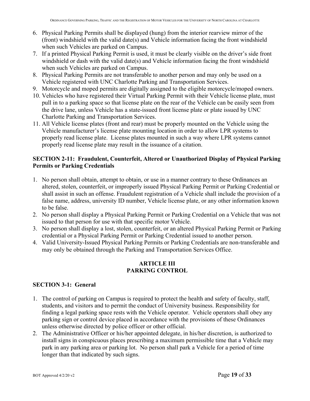- 6. Physical Parking Permits shall be displayed (hung) from the interior rearview mirror of the (front) windshield with the valid date(s) and Vehicle information facing the front windshield when such Vehicles are parked on Campus.
- 7. If a printed Physical Parking Permit is used, it must be clearly visible on the driver's side front windshield or dash with the valid date(s) and Vehicle information facing the front windshield when such Vehicles are parked on Campus.
- 8. Physical Parking Permits are not transferable to another person and may only be used on a Vehicle registered with UNC Charlotte Parking and Transportation Services.
- 9. Motorcycle and moped permits are digitally assigned to the eligible motorcycle/moped owners.
- 10. Vehicles who have registered their Virtual Parking Permit with their Vehicle license plate, must pull in to a parking space so that license plate on the rear of the Vehicle can be easily seen from the drive lane, unless Vehicle has a state-issued front license plate or plate issued by UNC Charlotte Parking and Transportation Services.
- 11. All Vehicle license plates (front and rear) must be properly mounted on the Vehicle using the Vehicle manufacturer's license plate mounting location in order to allow LPR systems to properly read license plate. License plates mounted in such a way where LPR systems cannot properly read license plate may result in the issuance of a citation.

#### **SECTION 2-11: Fraudulent, Counterfeit, Altered or Unauthorized Display of Physical Parking Permits or Parking Credentials**

- 1. No person shall obtain, attempt to obtain, or use in a manner contrary to these Ordinances an altered, stolen, counterfeit, or improperly issued Physical Parking Permit or Parking Credential or shall assist in such an offense. Fraudulent registration of a Vehicle shall include the provision of a false name, address, university ID number, Vehicle license plate, or any other information known to be false.
- 2. No person shall display a Physical Parking Permit or Parking Credential on a Vehicle that was not issued to that person for use with that specific motor Vehicle.
- 3. No person shall display a lost, stolen, counterfeit, or an altered Physical Parking Permit or Parking credential or a Physical Parking Permit or Parking Credential issued to another person.
- 4. Valid University-Issued Physical Parking Permits or Parking Credentials are non-transferable and may only be obtained through the Parking and Transportation Services Office.

#### **ARTICLE III PARKING CONTROL**

#### **SECTION 3-1: General**

- 1. The control of parking on Campus is required to protect the health and safety of faculty, staff, students, and visitors and to permit the conduct of University business. Responsibility for finding a legal parking space rests with the Vehicle operator. Vehicle operators shall obey any parking sign or control device placed in accordance with the provisions of these Ordinances unless otherwise directed by police officer or other official.
- 2. The Administrative Officer or his/her appointed delegate, in his/her discretion, is authorized to install signs in conspicuous places prescribing a maximum permissible time that a Vehicle may park in any parking area or parking lot. No person shall park a Vehicle for a period of time longer than that indicated by such signs.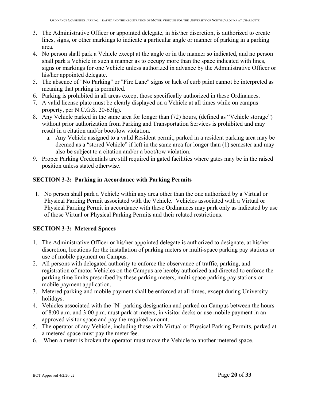- 3. The Administrative Officer or appointed delegate, in his/her discretion, is authorized to create lines, signs, or other markings to indicate a particular angle or manner of parking in a parking area.
- 4. No person shall park a Vehicle except at the angle or in the manner so indicated, and no person shall park a Vehicle in such a manner as to occupy more than the space indicated with lines, signs or markings for one Vehicle unless authorized in advance by the Administrative Officer or his/her appointed delegate.
- 5. The absence of "No Parking" or "Fire Lane" signs or lack of curb paint cannot be interpreted as meaning that parking is permitted.
- 6. Parking is prohibited in all areas except those specifically authorized in these Ordinances.
- 7. A valid license plate must be clearly displayed on a Vehicle at all times while on campus property, per N.C.G.S. 20-63(g).
- 8. Any Vehicle parked in the same area for longer than (72) hours, (defined as "Vehicle storage") without prior authorization from Parking and Transportation Services is prohibited and may result in a citation and/or boot/tow violation.
	- a. Any Vehicle assigned to a valid Resident permit, parked in a resident parking area may be deemed as a "stored Vehicle" if left in the same area for longer than (1) semester and may also be subject to a citation and/or a boot/tow violation.
- 9. Proper Parking Credentials are still required in gated facilities where gates may be in the raised position unless stated otherwise.

#### **SECTION 3-2: Parking in Accordance with Parking Permits**

1. No person shall park a Vehicle within any area other than the one authorized by a Virtual or Physical Parking Permit associated with the Vehicle. Vehicles associated with a Virtual or Physical Parking Permit in accordance with these Ordinances may park only as indicated by use of those Virtual or Physical Parking Permits and their related restrictions.

#### **SECTION 3-3: Metered Spaces**

- 1. The Administrative Officer or his/her appointed delegate is authorized to designate, at his/her discretion, locations for the installation of parking meters or multi-space parking pay stations or use of mobile payment on Campus.
- 2. All persons with delegated authority to enforce the observance of traffic, parking, and registration of motor Vehicles on the Campus are hereby authorized and directed to enforce the parking time limits prescribed by these parking meters, multi-space parking pay stations or mobile payment application.
- 3. Metered parking and mobile payment shall be enforced at all times, except during University holidays.
- 4. Vehicles associated with the "N" parking designation and parked on Campus between the hours of 8:00 a.m. and 3:00 p.m. must park at meters, in visitor decks or use mobile payment in an approved visitor space and pay the required amount.
- 5. The operator of any Vehicle, including those with Virtual or Physical Parking Permits, parked at a metered space must pay the meter fee.
- 6. When a meter is broken the operator must move the Vehicle to another metered space.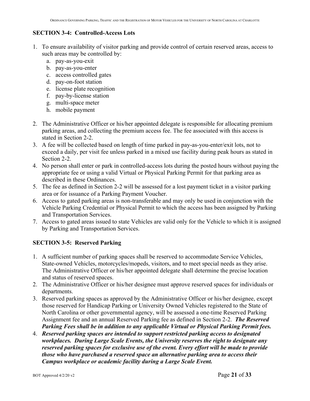#### **SECTION 3-4: Controlled-Access Lots**

- 1. To ensure availability of visitor parking and provide control of certain reserved areas, access to such areas may be controlled by:
	- a. pay-as-you-exit
	- b. pay-as-you-enter
	- c. access controlled gates
	- d. pay-on-foot station
	- e. license plate recognition
	- f. pay-by-license station
	- g. multi-space meter
	- h. mobile payment
- 2. The Administrative Officer or his/her appointed delegate is responsible for allocating premium parking areas, and collecting the premium access fee. The fee associated with this access is stated in Section 2-2.
- 3. A fee will be collected based on length of time parked in pay-as-you-enter/exit lots, not to exceed a daily, per visit fee unless parked in a mixed use facility during peak hours as stated in Section 2-2.
- 4. No person shall enter or park in controlled-access lots during the posted hours without paying the appropriate fee or using a valid Virtual or Physical Parking Permit for that parking area as described in these Ordinances.
- 5. The fee as defined in Section 2-2 will be assessed for a lost payment ticket in a visitor parking area or for issuance of a Parking Payment Voucher.
- 6. Access to gated parking areas is non-transferable and may only be used in conjunction with the Vehicle Parking Credential or Physical Permit to which the access has been assigned by Parking and Transportation Services.
- 7. Access to gated areas issued to state Vehicles are valid only for the Vehicle to which it is assigned by Parking and Transportation Services.

#### **SECTION 3-5: Reserved Parking**

- 1. A sufficient number of parking spaces shall be reserved to accommodate Service Vehicles, State-owned Vehicles, motorcycles/mopeds, visitors, and to meet special needs as they arise. The Administrative Officer or his/her appointed delegate shall determine the precise location and status of reserved spaces.
- 2. The Administrative Officer or his/her designee must approve reserved spaces for individuals or departments.
- 3. Reserved parking spaces as approved by the Administrative Officer or his/her designee, except those reserved for Handicap Parking or University Owned Vehicles registered to the State of North Carolina or other governmental agency, will be assessed a one-time Reserved Parking Assignment fee and an annual Reserved Parking fee as defined in Section 2-2. *The Reserved Parking Fees shall be in addition to any applicable Virtual or Physical Parking Permit fees.*
- 4. *Reserved parking spaces are intended to support restricted parking access to designated workplaces. During Large Scale Events, the University reserves the right to designate any reserved parking spaces for exclusive use of the event. Every effort will be made to provide those who have purchased a reserved space an alternative parking area to access their Campus workplace or academic facility during a Large Scale Event.*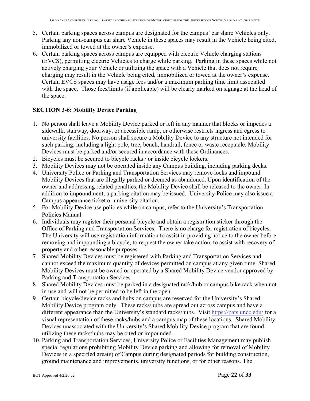- 5. Certain parking spaces across campus are designated for the campus' car share Vehicles only. Parking any non-campus car share Vehicle in these spaces may result in the Vehicle being cited, immobilized or towed at the owner's expense.
- 6. Certain parking spaces across campus are equipped with electric Vehicle charging stations (EVCS), permitting electric Vehicles to charge while parking. Parking in these spaces while not actively charging your Vehicle or utilizing the space with a Vehicle that does not require charging may result in the Vehicle being cited, immobilized or towed at the owner's expense. Certain EVCS spaces may have usage fees and/or a maximum parking time limit associated with the space. Those fees/limits (if applicable) will be clearly marked on signage at the head of the space.

#### **SECTION 3-6: Mobility Device Parking**

- 1. No person shall leave a Mobility Device parked or left in any manner that blocks or impedes a sidewalk, stairway, doorway, or accessible ramp, or otherwise restricts ingress and egress to university facilities. No person shall secure a Mobility Device to any structure not intended for such parking, including a light pole, tree, bench, handrail, fence or waste receptacle. Mobility Devices must be parked and/or secured in accordance with these Ordinances.
- 2. Bicycles must be secured to bicycle racks / or inside bicycle lockers.
- 3. Mobility Devices may not be operated inside any Campus building, including parking decks.
- 4. University Police or Parking and Transportation Services may remove locks and impound Mobility Devices that are illegally parked or deemed as abandoned. Upon identification of the owner and addressing related penalties, the Mobility Device shall be released to the owner. In addition to impoundment, a parking citation may be issued. University Police may also issue a Campus appearance ticket or university citation.
- 5. For Mobility Device use policies while on campus, refer to the University's Transportation Policies Manual.
- 6. Individuals may register their personal bicycle and obtain a registration sticker through the Office of Parking and Transportation Services. There is no charge for registration of bicycles. The University will use registration information to assist in providing notice to the owner before removing and impounding a bicycle, to request the owner take action, to assist with recovery of property and other reasonable purposes.
- 7. Shared Mobility Devices must be registered with Parking and Transportation Services and cannot exceed the maximum quantity of devices permitted on campus at any given time. Shared Mobility Devices must be owned or operated by a Shared Mobility Device vendor approved by Parking and Transportation Services.
- 8. Shared Mobility Devices must be parked in a designated rack/hub or campus bike rack when not in use and will not be permitted to be left in the open.
- 9. Certain bicycle/device racks and hubs on campus are reserved for the University's Shared Mobility Device program only. These racks/hubs are spread out across campus and have a different appearance than the University's standard racks/hubs. Visit https://pats.uncc.edu/ for a visual representation of these racks/hubs and a campus map of these locations. Shared Mobility Devices unassociated with the University's Shared Mobility Device program that are found utilizing these racks/hubs may be cited or impounded.
- 10. Parking and Transportation Services, University Police or Facilities Management may publish special regulations prohibiting Mobility Device parking and allowing for removal of Mobility Devices in a specified area(s) of Campus during designated periods for building construction, ground maintenance and improvements, university functions, or for other reasons. The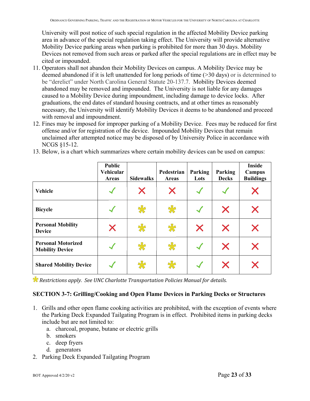University will post notice of such special regulation in the affected Mobility Device parking area in advance of the special regulation taking effect. The University will provide alternative Mobility Device parking areas when parking is prohibited for more than 30 days. Mobility Devices not removed from such areas or parked after the special regulations are in effect may be cited or impounded.

- 11. Operators shall not abandon their Mobility Devices on campus. A Mobility Device may be deemed abandoned if it is left unattended for long periods of time (>30 days) or is determined to be "derelict" under North Carolina General Statute 20-137.7. Mobility Devices deemed abandoned may be removed and impounded. The University is not liable for any damages caused to a Mobility Device during impoundment, including damage to device locks. After graduations, the end dates of standard housing contracts, and at other times as reasonably necessary, the University will identify Mobility Devices it deems to be abandoned and proceed with removal and impoundment.
- 12. Fines may be imposed for improper parking of a Mobility Device. Fees may be reduced for first offense and/or for registration of the device. Impounded Mobility Devices that remain unclaimed after attempted notice may be disposed of by University Police in accordance with NCGS §15-12.

| 13. Below, is a chart which summarizes where certain mobility devices can be used on campus: |  |  |
|----------------------------------------------------------------------------------------------|--|--|
|                                                                                              |  |  |

|                                                     | <b>Public</b><br>Vehicular<br><b>Areas</b> | <b>Sidewalks</b> | Pedestrian<br><b>Areas</b> | Parking<br>Lots | Parking<br><b>Decks</b> | <b>Inside</b><br>Campus<br><b>Buildings</b> |
|-----------------------------------------------------|--------------------------------------------|------------------|----------------------------|-----------------|-------------------------|---------------------------------------------|
| Vehicle                                             |                                            | Х                | X                          |                 |                         |                                             |
| <b>Bicycle</b>                                      |                                            | 55               | 55                         |                 | X                       | Х                                           |
| <b>Personal Mobility</b><br><b>Device</b>           | X                                          | 岁                | 55                         | X               | X                       | Х                                           |
| <b>Personal Motorized</b><br><b>Mobility Device</b> |                                            | 岁                | 宋                          | $\sqrt{2}$      | X                       | Х                                           |
| <b>Shared Mobility Device</b>                       |                                            | 怂                | $\frac{11}{25}$            |                 | X                       |                                             |

*Restrictions apply. See UNC Charlotte Transportation Policies Manual for details.*

#### **SECTION 3-7: Grilling/Cooking and Open Flame Devices in Parking Decks or Structures**

- 1. Grills and other open flame cooking activities are prohibited, with the exception of events where the Parking Deck Expanded Tailgating Program is in effect. Prohibited items in parking decks include but are not limited to:
	- a. charcoal, propane, butane or electric grills
	- b. smokers
	- c. deep fryers
	- d. generators
- 2. Parking Deck Expanded Tailgating Program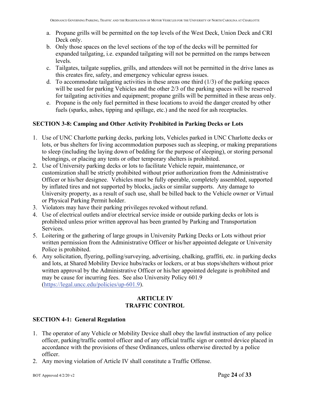- a. Propane grills will be permitted on the top levels of the West Deck, Union Deck and CRI Deck only.
- b. Only those spaces on the level sections of the top of the decks will be permitted for expanded tailgating, i.e. expanded tailgating will not be permitted on the ramps between levels.
- c. Tailgates, tailgate supplies, grills, and attendees will not be permitted in the drive lanes as this creates fire, safety, and emergency vehicular egress issues.
- d. To accommodate tailgating activities in these areas one third  $(1/3)$  of the parking spaces will be used for parking Vehicles and the other 2/3 of the parking spaces will be reserved for tailgating activities and equipment; propane grills will be permitted in these areas only.
- e. Propane is the only fuel permitted in these locations to avoid the danger created by other fuels (sparks, ashes, tipping and spillage, etc.) and the need for ash receptacles.

#### **SECTION 3-8: Camping and Other Activity Prohibited in Parking Decks or Lots**

- 1. Use of UNC Charlotte parking decks, parking lots, Vehicles parked in UNC Charlotte decks or lots, or bus shelters for living accommodation purposes such as sleeping, or making preparations to sleep (including the laying down of bedding for the purpose of sleeping), or storing personal belongings, or placing any tents or other temporary shelters is prohibited.
- 2. Use of University parking decks or lots to facilitate Vehicle repair, maintenance, or customization shall be strictly prohibited without prior authorization from the Administrative Officer or his/her designee. Vehicles must be fully operable, completely assembled, supported by inflated tires and not supported by blocks, jacks or similar supports. Any damage to University property, as a result of such use, shall be billed back to the Vehicle owner or Virtual or Physical Parking Permit holder.
- 3. Violators may have their parking privileges revoked without refund.
- 4. Use of electrical outlets and/or electrical service inside or outside parking decks or lots is prohibited unless prior written approval has been granted by Parking and Transportation Services.
- 5. Loitering or the gathering of large groups in University Parking Decks or Lots without prior written permission from the Administrative Officer or his/her appointed delegate or University Police is prohibited.
- 6. Any solicitation, flyering, polling/surveying, advertising, chalking, graffiti, etc. in parking decks and lots, at Shared Mobility Device hubs/racks or lockers, or at bus stops/shelters without prior written approval by the Administrative Officer or his/her appointed delegate is prohibited and may be cause for incurring fees. See also University Policy 601.9 (https://legal.uncc.edu/policies/up-601.9).

#### **ARTICLE IV TRAFFIC CONTROL**

#### **SECTION 4-1: General Regulation**

- 1. The operator of any Vehicle or Mobility Device shall obey the lawful instruction of any police officer, parking/traffic control officer and of any official traffic sign or control device placed in accordance with the provisions of these Ordinances, unless otherwise directed by a police officer.
- 2. Any moving violation of Article IV shall constitute a Traffic Offense.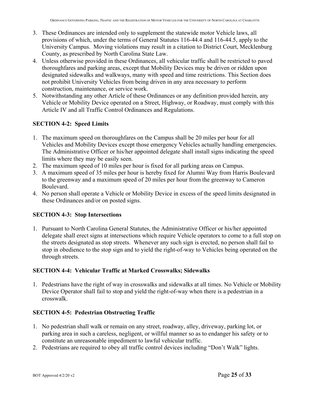- 3. These Ordinances are intended only to supplement the statewide motor Vehicle laws, all provisions of which, under the terms of General Statutes 116-44.4 and 116-44.5, apply to the University Campus. Moving violations may result in a citation to District Court, Mecklenburg County, as prescribed by North Carolina State Law.
- 4. Unless otherwise provided in these Ordinances, all vehicular traffic shall be restricted to paved thoroughfares and parking areas, except that Mobility Devices may be driven or ridden upon designated sidewalks and walkways, many with speed and time restrictions. This Section does not prohibit University Vehicles from being driven in any area necessary to perform construction, maintenance, or service work.
- 5. Notwithstanding any other Article of these Ordinances or any definition provided herein, any Vehicle or Mobility Device operated on a Street, Highway, or Roadway, must comply with this Article IV and all Traffic Control Ordinances and Regulations.

#### **SECTION 4-2: Speed Limits**

- 1. The maximum speed on thoroughfares on the Campus shall be 20 miles per hour for all Vehicles and Mobility Devices except those emergency Vehicles actually handling emergencies. The Administrative Officer or his/her appointed delegate shall install signs indicating the speed limits where they may be easily seen.
- 2. The maximum speed of 10 miles per hour is fixed for all parking areas on Campus.
- 3. A maximum speed of 35 miles per hour is hereby fixed for Alumni Way from Harris Boulevard to the greenway and a maximum speed of 20 miles per hour from the greenway to Cameron Boulevard.
- 4. No person shall operate a Vehicle or Mobility Device in excess of the speed limits designated in these Ordinances and/or on posted signs.

#### **SECTION 4-3: Stop Intersections**

1. Pursuant to North Carolina General Statutes, the Administrative Officer or his/her appointed delegate shall erect signs at intersections which require Vehicle operators to come to a full stop on the streets designated as stop streets. Whenever any such sign is erected, no person shall fail to stop in obedience to the stop sign and to yield the right-of-way to Vehicles being operated on the through streets.

#### **SECTION 4-4: Vehicular Traffic at Marked Crosswalks; Sidewalks**

1. Pedestrians have the right of way in crosswalks and sidewalks at all times. No Vehicle or Mobility Device Operator shall fail to stop and yield the right-of-way when there is a pedestrian in a crosswalk.

#### **SECTION 4-5: Pedestrian Obstructing Traffic**

- 1. No pedestrian shall walk or remain on any street, roadway, alley, driveway, parking lot, or parking area in such a careless, negligent, or willful manner so as to endanger his safety or to constitute an unreasonable impediment to lawful vehicular traffic.
- 2. Pedestrians are required to obey all traffic control devices including "Don't Walk" lights.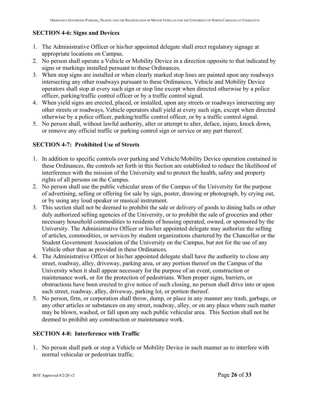## **SECTION 4-6: Signs and Devices**

- 1. The Administrative Officer or his/her appointed delegate shall erect regulatory signage at appropriate locations on Campus.
- 2. No person shall operate a Vehicle or Mobility Device in a direction opposite to that indicated by signs or markings installed pursuant to these Ordinances.
- 3. When stop signs are installed or when clearly marked stop lines are painted upon any roadways intersecting any other roadways pursuant to these Ordinances, Vehicle and Mobility Device operators shall stop at every such sign or stop line except when directed otherwise by a police officer, parking/traffic control officer or by a traffic control signal.
- 4. When yield signs are erected, placed, or installed, upon any streets or roadways intersecting any other streets or roadways, Vehicle operators shall yield at every such sign, except when directed otherwise by a police officer, parking/traffic control officer, or by a traffic control signal.
- 5. No person shall, without lawful authority, alter or attempt to alter, deface, injure, knock down, or remove any official traffic or parking control sign or service or any part thereof.

#### **SECTION 4-7: Prohibited Use of Streets**

- 1. In addition to specific controls over parking and Vehicle/Mobility Device operation contained in these Ordinances, the controls set forth in this Section are established to reduce the likelihood of interference with the mission of the University and to protect the health, safety and property rights of all persons on the Campus.
- 2. No person shall use the public vehicular areas of the Campus of the University for the purpose of advertising, selling or offering for sale by sign, poster, drawing or photograph, by crying out, or by using any loud speaker or musical instrument.
- 3. This section shall not be deemed to prohibit the sale or delivery of goods to dining halls or other duly authorized selling agencies of the University, or to prohibit the sale of groceries and other necessary household commodities to residents of housing operated, owned, or sponsored by the University. The Administrative Officer or his/her appointed delegate may authorize the selling of articles, commodities, or services by student organizations chartered by the Chancellor or the Student Government Association of the University on the Campus, but not for the use of any Vehicle other than as provided in these Ordinances.
- 4. The Administrative Officer or his/her appointed delegate shall have the authority to close any street, roadway, alley, driveway, parking area, or any portion thereof on the Campus of the University when it shall appear necessary for the purpose of an event, construction or maintenance work, or for the protection of pedestrians. When proper signs, barriers, or obstructions have been erected to give notice of such closing, no person shall drive into or upon such street, roadway, alley, driveway, parking lot, or portion thereof.
- 5. No person, firm, or corporation shall throw, dump, or place in any manner any trash, garbage, or any other articles or substances on any street, roadway, alley, or on any place where such matter may be blown, washed, or fall upon any such public vehicular area. This Section shall not be deemed to prohibit any construction or maintenance work.

#### **SECTION 4-8: Interference with Traffic**

1. No person shall park or stop a Vehicle or Mobility Device in such manner as to interfere with normal vehicular or pedestrian traffic.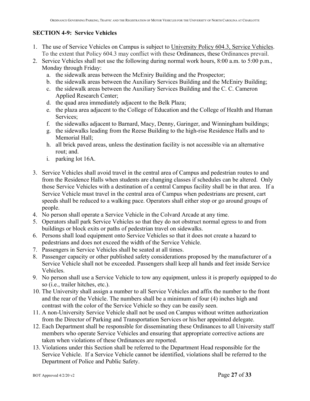## **SECTION 4-9: Service Vehicles**

- 1. The use of Service Vehicles on Campus is subject to University Policy 604.3, Service Vehicles. To the extent that Policy 604.3 may conflict with these Ordinances, these Ordinances prevail.
- 2. Service Vehicles shall not use the following during normal work hours, 8:00 a.m. to 5:00 p.m., Monday through Friday:
	- a. the sidewalk areas between the McEniry Building and the Prospector;
	- b. the sidewalk areas between the Auxiliary Services Building and the McEniry Building;
	- c. the sidewalk areas between the Auxiliary Services Building and the C. C. Cameron Applied Research Center;
	- d. the quad area immediately adjacent to the Belk Plaza;
	- e. the plaza area adjacent to the College of Education and the College of Health and Human Services;
	- f. the sidewalks adjacent to Barnard, Macy, Denny, Garinger, and Winningham buildings;
	- g. the sidewalks leading from the Reese Building to the high-rise Residence Halls and to Memorial Hall;
	- h. all brick paved areas, unless the destination facility is not accessible via an alternative rout; and.
	- i. parking lot 16A.
- 3. Service Vehicles shall avoid travel in the central area of Campus and pedestrian routes to and from the Residence Halls when students are changing classes if schedules can be altered. Only those Service Vehicles with a destination of a central Campus facility shall be in that area. If a Service Vehicle must travel in the central area of Campus when pedestrians are present, cart speeds shall be reduced to a walking pace. Operators shall either stop or go around groups of people.
- 4. No person shall operate a Service Vehicle in the Colvard Arcade at any time.
- 5. Operators shall park Service Vehicles so that they do not obstruct normal egress to and from buildings or block exits or paths of pedestrian travel on sidewalks.
- 6. Persons shall load equipment onto Service Vehicles so that it does not create a hazard to pedestrians and does not exceed the width of the Service Vehicle.
- 7. Passengers in Service Vehicles shall be seated at all times.
- 8. Passenger capacity or other published safety considerations proposed by the manufacturer of a Service Vehicle shall not be exceeded. Passengers shall keep all hands and feet inside Service Vehicles.
- 9. No person shall use a Service Vehicle to tow any equipment, unless it is properly equipped to do so (i.e., trailer hitches, etc.).
- 10. The University shall assign a number to all Service Vehicles and affix the number to the front and the rear of the Vehicle. The numbers shall be a minimum of four (4) inches high and contrast with the color of the Service Vehicle so they can be easily seen.
- 11. A non-University Service Vehicle shall not be used on Campus without written authorization from the Director of Parking and Transportation Services or his/her appointed delegate.
- 12. Each Department shall be responsible for disseminating these Ordinances to all University staff members who operate Service Vehicles and ensuring that appropriate corrective actions are taken when violations of these Ordinances are reported.
- 13. Violations under this Section shall be referred to the Department Head responsible for the Service Vehicle. If a Service Vehicle cannot be identified, violations shall be referred to the Department of Police and Public Safety.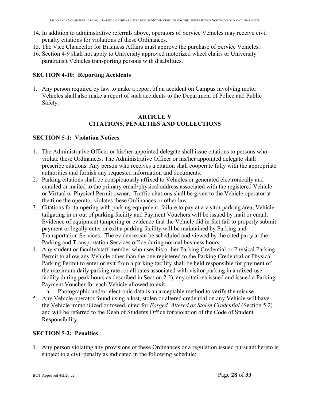- 14. In addition to administrative referrals above, operators of Service Vehicles may receive civil penalty citations for violations of these Ordinances.
- 15. The Vice Chancellor for Business Affairs must approve the purchase of Service Vehicles.
- 16. Section 4-9 shall not apply to University approved motorized wheel chairs or University paratransit Vehicles transporting persons with disabilities.

#### **SECTION 4-10: Reporting Accidents**

1. Any person required by law to make a report of an accident on Campus involving motor Vehicles shall also make a report of such accidents to the Department of Police and Public Safety.

#### **ARTICLE V CITATIONS, PENALTIES AND COLLECTIONS**

#### **SECTION 5-1: Violation Notices**

- 1. The Administrative Officer or his/her appointed delegate shall issue citations to persons who violate these Ordinances. The Administrative Officer or his/her appointed delegate shall prescribe citations. Any person who receives a citation shall cooperate fully with the appropriate authorities and furnish any requested information and documents.
- 2. Parking citations shall be conspicuously affixed to Vehicles or generated electronically and emailed or mailed to the primary email/physical address associated with the registered Vehicle or Virtual or Physical Permit owner. Traffic citations shall be given to the Vehicle operator at the time the operator violates these Ordinances or other law.
- 3. Citations for tampering with parking equipment, failure to pay at a visitor parking area, Vehicle tailgating in or out of parking facility and Payment Vouchers will be issued by mail or email. Evidence of equipment tampering or evidence that the Vehicle did in fact fail to properly submit payment or legally enter or exit a parking facility will be maintained by Parking and Transportation Services. The evidence can be scheduled and viewed by the cited party at the Parking and Transportation Services office during normal business hours.
- 4. Any student or faculty/staff member who uses his or her Parking Credential or Physical Parking Permit to allow any Vehicle other than the one registered to the Parking Credential or Physical Parking Permit to enter or exit from a parking facility shall be held responsible for payment of the maximum daily parking rate (or all rates associated with visitor parking in a mixed-use facility during peak hours as described in Section 2.2), any citations issued and issued a Parking Payment Voucher for each Vehicle allowed to exit.

a. Photographic and/or electronic data is an acceptable method to verify the misuse.

5. Any Vehicle operator found using a lost, stolen or altered credential on any Vehicle will have the Vehicle immobilized or towed, cited for *Forged, Altered or Stolen Credential* (Section 5.2) and will be referred to the Dean of Students Office for violation of the Code of Student Responsibility.

#### **SECTION 5-2: Penalties**

1. Any person violating any provisions of these Ordinances or a regulation issued pursuant hereto is subject to a civil penalty as indicated in the following schedule: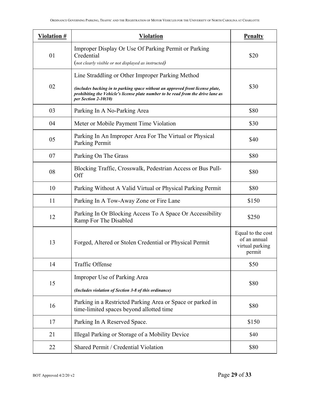| <b>Violation #</b> | <b>Violation</b>                                                                                                                                                                                                                               | <b>Penalty</b>                                                 |
|--------------------|------------------------------------------------------------------------------------------------------------------------------------------------------------------------------------------------------------------------------------------------|----------------------------------------------------------------|
| 01                 | Improper Display Or Use Of Parking Permit or Parking<br>Credential<br>(not clearly visible or not displayed as instructed)                                                                                                                     | \$20                                                           |
| 02                 | Line Straddling or Other Improper Parking Method<br>(includes backing in to parking space without an approved front license plate,<br>prohibiting the Vehicle's license plate number to be read from the drive lane as<br>per Section 2-10(10) | \$30                                                           |
| 03                 | Parking In A No-Parking Area                                                                                                                                                                                                                   | \$80                                                           |
| 04                 | Meter or Mobile Payment Time Violation                                                                                                                                                                                                         | \$30                                                           |
| 05                 | Parking In An Improper Area For The Virtual or Physical<br>Parking Permit                                                                                                                                                                      | \$40                                                           |
| 07                 | Parking On The Grass                                                                                                                                                                                                                           | \$80                                                           |
| 08                 | Blocking Traffic, Crosswalk, Pedestrian Access or Bus Pull-<br>Off                                                                                                                                                                             | \$80                                                           |
| 10                 | Parking Without A Valid Virtual or Physical Parking Permit                                                                                                                                                                                     | \$80                                                           |
| 11                 | Parking In A Tow-Away Zone or Fire Lane                                                                                                                                                                                                        | \$150                                                          |
| 12                 | Parking In Or Blocking Access To A Space Or Accessibility<br>Ramp For The Disabled                                                                                                                                                             | \$250                                                          |
| 13                 | Forged, Altered or Stolen Credential or Physical Permit                                                                                                                                                                                        | Equal to the cost<br>of an annual<br>virtual parking<br>permit |
| 14                 | <b>Traffic Offense</b>                                                                                                                                                                                                                         | \$50                                                           |
| 15                 | Improper Use of Parking Area<br>(Includes violation of Section 3-8 of this ordinance)                                                                                                                                                          | \$80                                                           |
| 16                 | Parking in a Restricted Parking Area or Space or parked in<br>time-limited spaces beyond allotted time                                                                                                                                         | \$80                                                           |
| 17                 | Parking In A Reserved Space.                                                                                                                                                                                                                   | \$150                                                          |
| 21                 | Illegal Parking or Storage of a Mobility Device                                                                                                                                                                                                | \$40                                                           |
| 22                 | Shared Permit / Credential Violation                                                                                                                                                                                                           | \$80                                                           |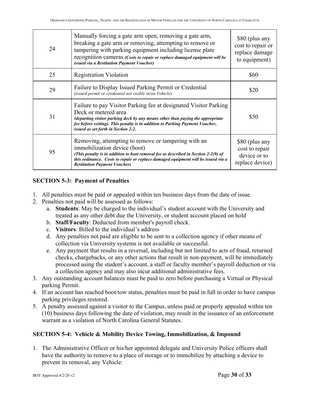| 24 | Manually forcing a gate arm open, removing a gate arm,<br>breaking a gate arm or removing, attempting to remove or<br>tampering with parking equipment including license plate<br>recognition cameras (Costs to repair or replace damaged equipment will be<br>issued via a Restitution Payment Voucher) | \$80 (plus any<br>cost to repair or<br>replace damage<br>to equipment) |
|----|----------------------------------------------------------------------------------------------------------------------------------------------------------------------------------------------------------------------------------------------------------------------------------------------------------|------------------------------------------------------------------------|
| 25 | <b>Registration Violation</b>                                                                                                                                                                                                                                                                            | \$60                                                                   |
| 29 | Failure to Display Issued Parking Permit or Credential<br>(issued permit or credential not visible in/on Vehicle)                                                                                                                                                                                        | \$20                                                                   |
| 31 | Failure to pay Visitor Parking fee at designated Visitor Parking<br>Deck or metered area<br>(departing visitor parking deck by any means other than paying the appropriate<br>fee before exiting). This penalty is in addition to Parking Payment Voucher,<br>issued as set forth in Section 2-2.        | \$50                                                                   |
| 95 | Removing, attempting to remove or tampering with an<br>immobilization device (boot)<br>(This penalty is in addition to boot removal fee as described in Section 2-2(9) of<br>this ordinance. Costs to repair or replace damaged equipment will be issued via a<br><b>Restitution Payment Voucher)</b>    | \$80 (plus any<br>cost to repair<br>device or to<br>replace device)    |

## **SECTION 5-3: Payment of Penalties**

- 1. All penalties must be paid or appealed within ten business days from the date of issue.
- 2. Penalties not paid will be assessed as follows:
	- a. **Students**: May be charged to the individual's student account with the University and treated as any other debt due the University, or student account placed on hold
	- b. **Staff/Faculty**: Deducted from member's payroll check.
	- c. **Visitors**: Billed to the individual's address
	- d. Any penalties not paid are eligible to be sent to a collection agency if other means of collection via University systems is not available or successful.
	- e. Any payment that results in a reversal, including but not limited to acts of fraud, returned checks, chargebacks, or any other actions that result in non-payment, will be immediately processed using the student's account, a staff or faculty member's payroll deduction or via a collection agency and may also incur additional administrative fees.
- 3. Any outstanding account balances must be paid to zero before purchasing a Virtual or Physical parking Permit.
- 4. If an account has reached boot/tow status, penalties must be paid in full in order to have campus parking privileges restored.
- 5. A penalty assessed against a visitor to the Campus, unless paid or properly appealed within ten (10) business days following the date of violation, may result in the issuance of an enforcement warrant as a violation of North Carolina General Statutes.

#### **SECTION 5-4: Vehicle & Mobility Device Towing, Immobilization, & Impound**

1. The Administrative Officer or his/her appointed delegate and University Police officers shall have the authority to remove to a place of storage or to immobilize by attaching a device to prevent its removal, any Vehicle: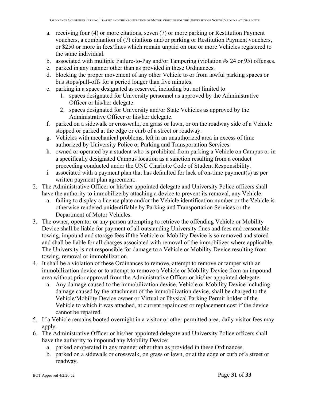- a. receiving four (4) or more citations, seven (7) or more parking or Restitution Payment vouchers, a combination of (7) citations and/or parking or Restitution Payment vouchers, or \$250 or more in fees/fines which remain unpaid on one or more Vehicles registered to the same individual.
- b. associated with multiple Failure-to-Pay and/or Tampering (violation #s 24 or 95) offenses.
- c. parked in any manner other than as provided in these Ordinances.
- d. blocking the proper movement of any other Vehicle to or from lawful parking spaces or bus stops/pull-offs for a period longer than five minutes.
- e. parking in a space designated as reserved, including but not limited to
	- 1. spaces designated for University personnel as approved by the Administrative Officer or his/her delegate.
	- 2. spaces designated for University and/or State Vehicles as approved by the Administrative Officer or his/her delegate.
- f. parked on a sidewalk or crosswalk, on grass or lawn, or on the roadway side of a Vehicle stopped or parked at the edge or curb of a street or roadway.
- g. Vehicles with mechanical problems, left in an unauthorized area in excess of time authorized by University Police or Parking and Transportation Services.
- h. owned or operated by a student who is prohibited from parking a Vehicle on Campus or in a specifically designated Campus location as a sanction resulting from a conduct proceeding conducted under the UNC Charlotte Code of Student Responsibility.
- i. associated with a payment plan that has defaulted for lack of on-time payment(s) as per written payment plan agreement.
- 2. The Administrative Officer or his/her appointed delegate and University Police officers shall have the authority to immobilize by attaching a device to prevent its removal, any Vehicle:
	- a. failing to display a license plate and/or the Vehicle identification number or the Vehicle is otherwise rendered unidentifiable by Parking and Transportation Services or the Department of Motor Vehicles.
- 3. The owner, operator or any person attempting to retrieve the offending Vehicle or Mobility Device shall be liable for payment of all outstanding University fines and fees and reasonable towing, impound and storage fees if the Vehicle or Mobility Device is so removed and stored and shall be liable for all charges associated with removal of the immobilizer where applicable. The University is not responsible for damage to a Vehicle or Mobility Device resulting from towing, removal or immobilization.
- 4. It shall be a violation of these Ordinances to remove, attempt to remove or tamper with an immobilization device or to attempt to remove a Vehicle or Mobility Device from an impound area without prior approval from the Administrative Officer or his/her appointed delegate.
	- a. Any damage caused to the immobilization device, Vehicle or Mobility Device including damage caused by the attachment of the immobilization device, shall be charged to the Vehicle/Mobility Device owner or Virtual or Physical Parking Permit holder of the Vehicle to which it was attached, at current repair cost or replacement cost if the device cannot be repaired.
- 5. If a Vehicle remains booted overnight in a visitor or other permitted area, daily visitor fees may apply.
- 6. The Administrative Officer or his/her appointed delegate and University Police officers shall have the authority to impound any Mobility Device:
	- a. parked or operated in any manner other than as provided in these Ordinances.
	- b. parked on a sidewalk or crosswalk, on grass or lawn, or at the edge or curb of a street or roadway.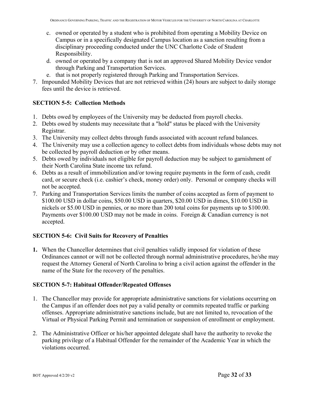- c. owned or operated by a student who is prohibited from operating a Mobility Device on Campus or in a specifically designated Campus location as a sanction resulting from a disciplinary proceeding conducted under the UNC Charlotte Code of Student Responsibility.
- d. owned or operated by a company that is not an approved Shared Mobility Device vendor through Parking and Transportation Services.
- e. that is not properly registered through Parking and Transportation Services.
- 7. Impounded Mobility Devices that are not retrieved within (24) hours are subject to daily storage fees until the device is retrieved.

#### **SECTION 5-5: Collection Methods**

- 1. Debts owed by employees of the University may be deducted from payroll checks.
- 2. Debts owed by students may necessitate that a "hold" status be placed with the University Registrar.
- 3. The University may collect debts through funds associated with account refund balances.
- 4. The University may use a collection agency to collect debts from individuals whose debts may not be collected by payroll deduction or by other means.
- 5. Debts owed by individuals not eligible for payroll deduction may be subject to garnishment of their North Carolina State income tax refund.
- 6. Debts as a result of immobilization and/or towing require payments in the form of cash, credit card, or secure check (i.e. cashier's check, money order) only. Personal or company checks will not be accepted.
- 7. Parking and Transportation Services limits the number of coins accepted as form of payment to \$100.00 USD in dollar coins, \$50.00 USD in quarters, \$20.00 USD in dimes, \$10.00 USD in nickels or \$5.00 USD in pennies, or no more than 200 total coins for payments up to \$100.00. Payments over \$100.00 USD may not be made in coins. Foreign & Canadian currency is not accepted.

#### **SECTION 5-6: Civil Suits for Recovery of Penalties**

**1.** When the Chancellor determines that civil penalties validly imposed for violation of these Ordinances cannot or will not be collected through normal administrative procedures, he/she may request the Attorney General of North Carolina to bring a civil action against the offender in the name of the State for the recovery of the penalties.

#### **SECTION 5-7: Habitual Offender/Repeated Offenses**

- 1. The Chancellor may provide for appropriate administrative sanctions for violations occurring on the Campus if an offender does not pay a valid penalty or commits repeated traffic or parking offenses. Appropriate administrative sanctions include, but are not limited to, revocation of the Virtual or Physical Parking Permit and termination or suspension of enrollment or employment.
- 2. The Administrative Officer or his/her appointed delegate shall have the authority to revoke the parking privilege of a Habitual Offender for the remainder of the Academic Year in which the violations occurred.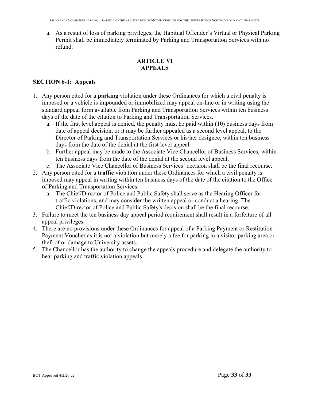a. As a result of loss of parking privileges, the Habitual Offender's Virtual or Physical Parking Permit shall be immediately terminated by Parking and Transportation Services with no refund.

## **ARTICLE VI APPEALS**

#### **SECTION 6-1: Appeals**

- 1. Any person cited for a **parking** violation under these Ordinances for which a civil penalty is imposed or a vehicle is impounded or immobilized may appeal on-line or in writing using the standard appeal form available from Parking and Transportation Services within ten business days of the date of the citation to Parking and Transportation Services.
	- a. If the first level appeal is denied, the penalty must be paid within (10) business days from date of appeal decision, or it may be further appealed as a second level appeal, to the Director of Parking and Transportation Services or his/her designee, within ten business days from the date of the denial at the first level appeal.
	- b. Further appeal may be made to the Associate Vice Chancellor of Business Services, within ten business days from the date of the denial at the second level appeal.
	- c. The Associate Vice Chancellor of Business Services' decision shall be the final recourse.
- 2. Any person cited for a **traffic** violation under these Ordinances for which a civil penalty is imposed may appeal in writing within ten business days of the date of the citation to the Office of Parking and Transportation Services.
	- a. The Chief/Director of Police and Public Safety shall serve as the Hearing Officer for traffic violations, and may consider the written appeal or conduct a hearing. The Chief/Director of Police and Public Safety's decision shall be the final recourse.
- 3. Failure to meet the ten business day appeal period requirement shall result in a forfeiture of all appeal privileges.
- 4. There are no provisions under these Ordinances for appeal of a Parking Payment or Restitution Payment Voucher as it is not a violation but merely a fee for parking in a visitor parking area or theft of or damage to University assets.
- 5. The Chancellor has the authority to change the appeals procedure and delegate the authority to hear parking and traffic violation appeals.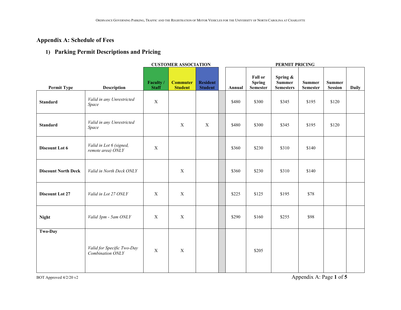## **Appendix A: Schedule of Fees**

## **1) Parking Permit Descriptions and Pricing**

|                            |                                                | <b>CUSTOMER ASSOCIATION</b> |                                   |                                   |  | PERMIT PRICING |                                                    |                                               |                           |                          |              |
|----------------------------|------------------------------------------------|-----------------------------|-----------------------------------|-----------------------------------|--|----------------|----------------------------------------------------|-----------------------------------------------|---------------------------|--------------------------|--------------|
| <b>Permit Type</b>         | <b>Description</b>                             | Faculty /<br><b>Staff</b>   | <b>Commuter</b><br><b>Student</b> | <b>Resident</b><br><b>Student</b> |  | Annual         | <b>Fall or</b><br><b>Spring</b><br><b>Semester</b> | Spring &<br><b>Summer</b><br><b>Semesters</b> | <b>Summer</b><br>Semester | <b>Summer</b><br>Session | <b>Daily</b> |
| <b>Standard</b>            | Valid in any Unrestricted<br>Space             | $\mathbf X$                 |                                   |                                   |  | \$480          | \$300                                              | \$345                                         | \$195                     | \$120                    |              |
| <b>Standard</b>            | Valid in any Unrestricted<br>Space             |                             | $\mathbf X$                       | $\mathbf X$                       |  | \$480          | \$300                                              | \$345                                         | \$195                     | \$120                    |              |
| Discount Lot 6             | Valid in Lot 6 (signed,<br>remote area) ONLY   | $\mathbf X$                 |                                   |                                   |  | \$360          | \$230                                              | \$310                                         | \$140                     |                          |              |
| <b>Discount North Deck</b> | Valid in North Deck ONLY                       |                             | $\mathbf X$                       |                                   |  | \$360          | \$230                                              | \$310                                         | \$140                     |                          |              |
| <b>Discount Lot 27</b>     | Valid in Lot 27 ONLY                           | $\mathbf X$                 | $\mathbf X$                       |                                   |  | \$225          | \$125                                              | \$195                                         | \$78                      |                          |              |
| <b>Night</b>               | Valid 3pm - 5am ONLY                           | $\mathbf X$                 | $\mathbf X$                       |                                   |  | \$290          | \$160                                              | \$255                                         | \$98                      |                          |              |
| Two-Day                    | Valid for Specific Two-Day<br>Combination ONLY | $\mathbf X$                 | $\mathbf X$                       |                                   |  |                | \$205                                              |                                               |                           |                          |              |

BOT Approved 4/2/20 v2 Appendix A: Page 1 of 5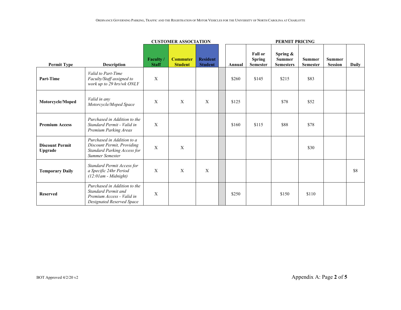|                                   |                                                                                                               | <b>CUSTOMER ASSOCIATION</b> |                                   |                                   |  | PERMIT PRICING |                                                    |                                                  |                                  |                                 |              |
|-----------------------------------|---------------------------------------------------------------------------------------------------------------|-----------------------------|-----------------------------------|-----------------------------------|--|----------------|----------------------------------------------------|--------------------------------------------------|----------------------------------|---------------------------------|--------------|
| <b>Permit Type</b>                | <b>Description</b>                                                                                            | Faculty /<br><b>Staff</b>   | <b>Commuter</b><br><b>Student</b> | <b>Resident</b><br><b>Student</b> |  | Annual         | <b>Fall or</b><br><b>Spring</b><br><b>Semester</b> | Spring $\&$<br><b>Summer</b><br><b>Semesters</b> | <b>Summer</b><br><b>Semester</b> | <b>Summer</b><br><b>Session</b> | <b>Daily</b> |
| Part-Time                         | Valid to Part-Time<br>Faculty/Staff assigned to<br>work up to 29 hrs/wk ONLY                                  | X                           |                                   |                                   |  | \$260          | \$145                                              | \$215                                            | \$83                             |                                 |              |
| Motorcycle/Moped                  | Valid in any<br>Motorcycle/Moped Space                                                                        | $\mathbf{X}$                | $\mathbf{X}$                      | X                                 |  | \$125          |                                                    | \$78                                             | \$52                             |                                 |              |
| <b>Premium Access</b>             | Purchased in Addition to the<br>Standard Permit - Valid in<br>Premium Parking Areas                           | $\mathbf X$                 |                                   |                                   |  | \$160          | \$115                                              | \$88                                             | \$78                             |                                 |              |
| <b>Discount Permit</b><br>Upgrade | Purchased in Addition to a<br>Discount Permit, Providing<br>Standard Parking Access for<br>Summer Semester    | $\mathbf{X}$                | $\mathbf{X}$                      |                                   |  |                |                                                    |                                                  | \$30                             |                                 |              |
| <b>Temporary Daily</b>            | Standard Permit Access for<br>a Specific 24hr Period<br>$(12:01am - Midnight)$                                | $\mathbf X$                 | X                                 | X                                 |  |                |                                                    |                                                  |                                  |                                 | \$8          |
| <b>Reserved</b>                   | Purchased in Addition to the<br>Standard Permit and<br>Premium Access - Valid in<br>Designated Reserved Space | $\mathbf{X}$                |                                   |                                   |  | \$250          |                                                    | \$150                                            | \$110                            |                                 |              |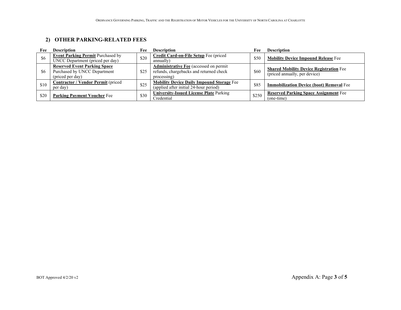### **2) OTHER PARKING-RELATED FEES**

| Fee  | <b>Description</b>                                                                      | Fee  | <b>Description</b>                                                                                      | Fee   | <b>Description</b>                                                              |
|------|-----------------------------------------------------------------------------------------|------|---------------------------------------------------------------------------------------------------------|-------|---------------------------------------------------------------------------------|
| \$6  | Event Parking Permit Purchased by<br>UNCC Department (priced per day)                   | \$20 | Credit Card-on-File Setup Fee (priced<br>annually)                                                      | \$50  | <b>Mobility Device Impound Release Fee</b>                                      |
| \$6  | <b>Reserved Event Parking Space</b><br>Purchased by UNCC Department<br>(priced per day) | \$25 | <b>Administrative Fee</b> (accessed on permit<br>refunds, chargebacks and returned check<br>processing) | \$60  | <b>Shared Mobility Device Registration Fee</b><br>(priced annually, per device) |
| \$10 | <b>Contractor / Vendor Permit (priced)</b><br>per day)                                  | \$25 | <b>Mobility Device Daily Impound Storage Fee</b><br>(applied after initial 24-hour period)              | \$85  | <b>Immobilization Device (boot) Removal Fee</b>                                 |
| \$20 | <b>Parking Payment Voucher Fee</b>                                                      | \$30 | <b>University-Issued License Plate Parking</b><br>Credential                                            | \$250 | <b>Reserved Parking Space Assignment Fee</b><br>(one-time)                      |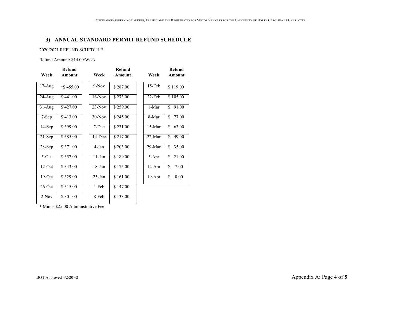#### **3) ANNUAL STANDARD PERMIT REFUND SCHEDULE**

#### 2020/2021 REFUND SCHEDULE

Refund Amount: \$14.00/Week

| Week       | <b>Refund</b><br><b>Amount</b> | Week      | Refund<br><b>Amount</b> | Week     | Refund<br><b>Amount</b> |
|------------|--------------------------------|-----------|-------------------------|----------|-------------------------|
| $17-Aug$   | $*$ \$455.00                   | $9-Nov$   | \$287.00                | 15-Feb   | \$119.00                |
| $24 - Aug$ | \$441.00                       | $16-Nov$  | \$273.00                | 22-Feb   | \$105.00                |
| $31-Aug$   | \$427.00                       | $23-Nov$  | \$259.00                | 1-Mar    | \$<br>91.00             |
| 7-Sep      | \$413.00                       | $30-Nov$  | \$245.00                | 8-Mar    | \$<br>77.00             |
| $14-Sep$   | \$399.00                       | 7-Dec     | \$231.00                | 15-Mar   | \$<br>63.00             |
| $21-Sep$   | \$385.00                       | 14-Dec    | \$217.00                | $22-Mar$ | \$<br>49.00             |
| $28-Sep$   | \$371.00                       | 4-Jan     | \$203.00                | $29-Mar$ | \$<br>35.00             |
| $5-Oct$    | \$357.00                       | $11$ -Jan | \$189.00                | 5-Apr    | \$<br>21.00             |
| $12-Oct$   | \$343.00                       | $18$ -Jan | \$175.00                | $12-Apr$ | \$<br>7.00              |
| $19-Oct$   | \$329.00                       | $25-Ian$  | \$161.00                | 19-Apr   | \$<br>0.00              |
| $26$ -Oct  | \$315.00                       | 1-Feb     | \$147.00                |          |                         |
| $2-Nov$    | \$301.00                       | 8-Feb     | \$133.00                |          |                         |

\* Minus \$25.00 Administrative Fee